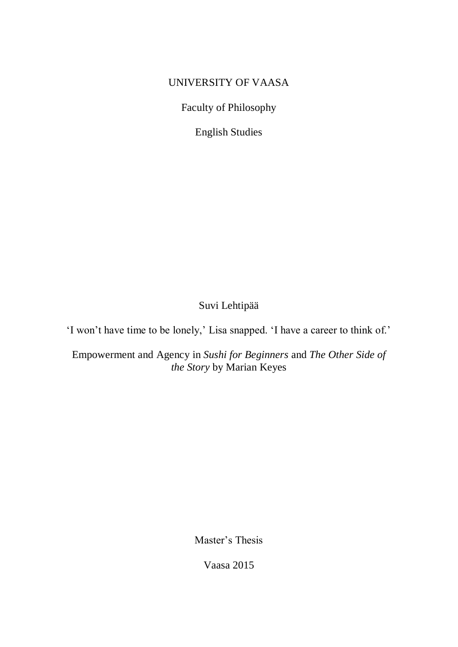## UNIVERSITY OF VAASA

Faculty of Philosophy

English Studies

# Suvi Lehtipää

'I won't have time to be lonely,' Lisa snapped. 'I have a career to think of.'

Empowerment and Agency in *Sushi for Beginners* and *The Other Side of the Story* by Marian Keyes

Master's Thesis

Vaasa 2015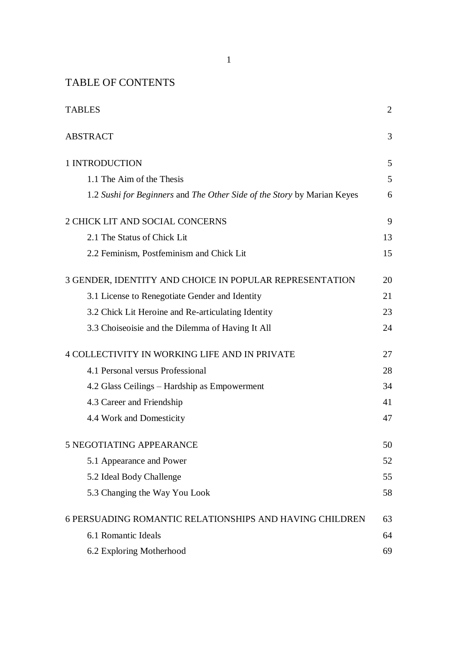## TABLE OF CONTENTS

| <b>TABLES</b>                                                           | 2  |
|-------------------------------------------------------------------------|----|
| <b>ABSTRACT</b>                                                         | 3  |
| 1 INTRODUCTION                                                          | 5  |
| 1.1 The Aim of the Thesis                                               | 5  |
| 1.2 Sushi for Beginners and The Other Side of the Story by Marian Keyes | 6  |
| 2 CHICK LIT AND SOCIAL CONCERNS                                         | 9  |
| 2.1 The Status of Chick Lit                                             | 13 |
| 2.2 Feminism, Postfeminism and Chick Lit                                | 15 |
| 3 GENDER, IDENTITY AND CHOICE IN POPULAR REPRESENTATION                 | 20 |
| 3.1 License to Renegotiate Gender and Identity                          | 21 |
| 3.2 Chick Lit Heroine and Re-articulating Identity                      | 23 |
| 3.3 Choiseoisie and the Dilemma of Having It All                        | 24 |
| 4 COLLECTIVITY IN WORKING LIFE AND IN PRIVATE                           | 27 |
| 4.1 Personal versus Professional                                        | 28 |
| 4.2 Glass Ceilings - Hardship as Empowerment                            | 34 |
| 4.3 Career and Friendship                                               | 41 |
| 4.4 Work and Domesticity                                                | 47 |
| 5 NEGOTIATING APPEARANCE                                                | 50 |
| 5.1 Appearance and Power                                                | 52 |
| 5.2 Ideal Body Challenge                                                | 55 |
| 5.3 Changing the Way You Look                                           | 58 |
| <b>6 PERSUADING ROMANTIC RELATIONSHIPS AND HAVING CHILDREN</b>          | 63 |
| 6.1 Romantic Ideals                                                     | 64 |
| 6.2 Exploring Motherhood                                                | 69 |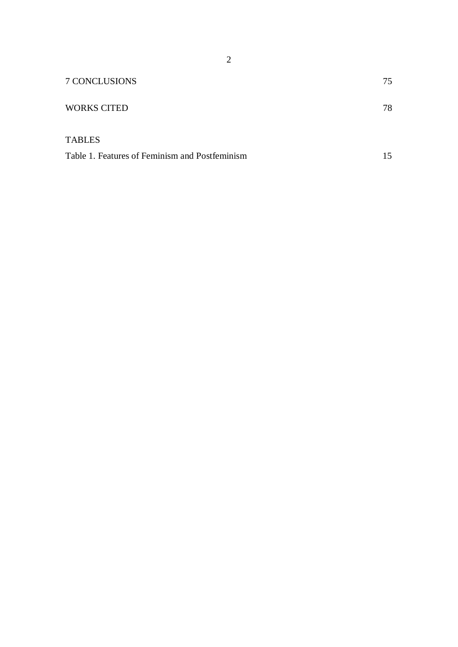| 7 CONCLUSIONS                                  | 75 |
|------------------------------------------------|----|
| <b>WORKS CITED</b>                             | 78 |
| <b>TABLES</b>                                  |    |
| Table 1. Features of Feminism and Postfeminism | 15 |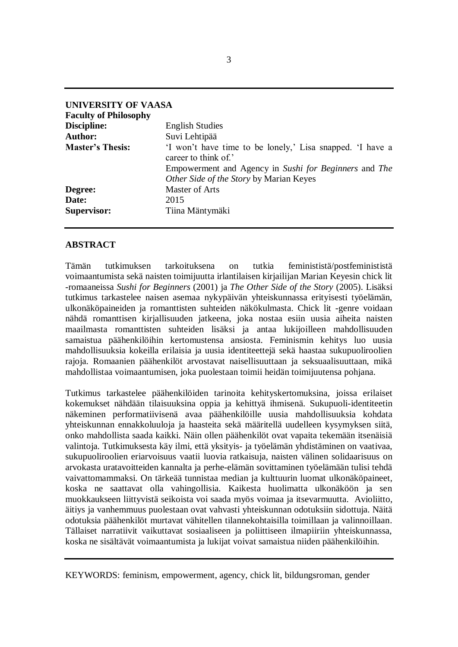| UNIVERSITY OF VAASA          |                                                                                                  |
|------------------------------|--------------------------------------------------------------------------------------------------|
| <b>Faculty of Philosophy</b> |                                                                                                  |
| Discipline:                  | <b>English Studies</b>                                                                           |
| <b>Author:</b>               | Suvi Lehtipää                                                                                    |
| <b>Master's Thesis:</b>      | If won't have time to be lonely,' Lisa snapped. I have a<br>career to think of.'                 |
|                              | Empowerment and Agency in Sushi for Beginners and The<br>Other Side of the Story by Marian Keyes |
| Degree:                      | <b>Master of Arts</b>                                                                            |
| Date:                        | 2015                                                                                             |
| <b>Supervisor:</b>           | Tiina Mäntymäki                                                                                  |

## **ABSTRACT**

Tämän tutkimuksen tarkoituksena on tutkia feminististä/postfeminististä voimaantumista sekä naisten toimijuutta irlantilaisen kirjailijan Marian Keyesin chick lit -romaaneissa *Sushi for Beginners* (2001) ja *The Other Side of the Story* (2005). Lisäksi tutkimus tarkastelee naisen asemaa nykypäivän yhteiskunnassa erityisesti työelämän, ulkonäköpaineiden ja romanttisten suhteiden näkökulmasta. Chick lit -genre voidaan nähdä romanttisen kirjallisuuden jatkeena, joka nostaa esiin uusia aiheita naisten maailmasta romanttisten suhteiden lisäksi ja antaa lukijoilleen mahdollisuuden samaistua päähenkilöihin kertomustensa ansiosta. Feminismin kehitys luo uusia mahdollisuuksia kokeilla erilaisia ja uusia identiteettejä sekä haastaa sukupuoliroolien rajoja. Romaanien päähenkilöt arvostavat naisellisuuttaan ja seksuaalisuuttaan, mikä mahdollistaa voimaantumisen, joka puolestaan toimii heidän toimijuutensa pohjana.

Tutkimus tarkastelee päähenkilöiden tarinoita kehityskertomuksina, joissa erilaiset kokemukset nähdään tilaisuuksina oppia ja kehittyä ihmisenä. Sukupuoli-identiteetin näkeminen performatiivisenä avaa päähenkilöille uusia mahdollisuuksia kohdata yhteiskunnan ennakkoluuloja ja haasteita sekä määritellä uudelleen kysymyksen siitä, onko mahdollista saada kaikki. Näin ollen päähenkilöt ovat vapaita tekemään itsenäisiä valintoja. Tutkimuksesta käy ilmi, että yksityis- ja työelämän yhdistäminen on vaativaa, sukupuoliroolien eriarvoisuus vaatii luovia ratkaisuja, naisten välinen solidaarisuus on arvokasta uratavoitteiden kannalta ja perhe-elämän sovittaminen työelämään tulisi tehdä vaivattomammaksi. On tärkeää tunnistaa median ja kulttuurin luomat ulkonäköpaineet, koska ne saattavat olla vahingollisia. Kaikesta huolimatta ulkonäköön ja sen muokkaukseen liittyvistä seikoista voi saada myös voimaa ja itsevarmuutta. Avioliitto, äitiys ja vanhemmuus puolestaan ovat vahvasti yhteiskunnan odotuksiin sidottuja. Näitä odotuksia päähenkilöt murtavat vähitellen tilannekohtaisilla toimillaan ja valinnoillaan. Tällaiset narratiivit vaikuttavat sosiaaliseen ja poliittiseen ilmapiiriin yhteiskunnassa, koska ne sisältävät voimaantumista ja lukijat voivat samaistua niiden päähenkilöihin.

KEYWORDS: feminism, empowerment, agency, chick lit, bildungsroman, gender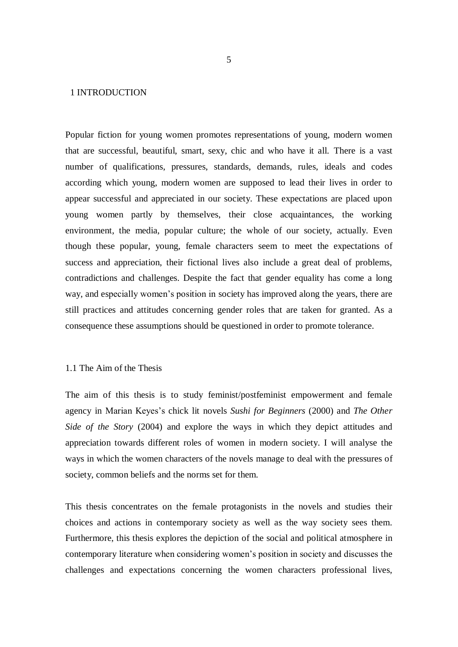### 1 INTRODUCTION

Popular fiction for young women promotes representations of young, modern women that are successful, beautiful, smart, sexy, chic and who have it all. There is a vast number of qualifications, pressures, standards, demands, rules, ideals and codes according which young, modern women are supposed to lead their lives in order to appear successful and appreciated in our society. These expectations are placed upon young women partly by themselves, their close acquaintances, the working environment, the media, popular culture; the whole of our society, actually. Even though these popular, young, female characters seem to meet the expectations of success and appreciation, their fictional lives also include a great deal of problems, contradictions and challenges. Despite the fact that gender equality has come a long way, and especially women's position in society has improved along the years, there are still practices and attitudes concerning gender roles that are taken for granted. As a consequence these assumptions should be questioned in order to promote tolerance.

## 1.1 The Aim of the Thesis

The aim of this thesis is to study feminist/postfeminist empowerment and female agency in Marian Keyes's chick lit novels *Sushi for Beginners* (2000) and *The Other Side of the Story* (2004) and explore the ways in which they depict attitudes and appreciation towards different roles of women in modern society. I will analyse the ways in which the women characters of the novels manage to deal with the pressures of society, common beliefs and the norms set for them.

This thesis concentrates on the female protagonists in the novels and studies their choices and actions in contemporary society as well as the way society sees them. Furthermore, this thesis explores the depiction of the social and political atmosphere in contemporary literature when considering women's position in society and discusses the challenges and expectations concerning the women characters professional lives,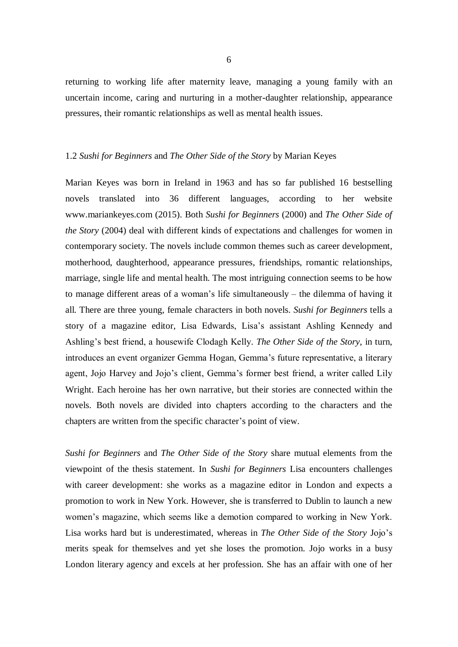returning to working life after maternity leave, managing a young family with an uncertain income, caring and nurturing in a mother-daughter relationship, appearance pressures, their romantic relationships as well as mental health issues.

## 1.2 *Sushi for Beginners* and *The Other Side of the Story* by Marian Keyes

Marian Keyes was born in Ireland in 1963 and has so far published 16 bestselling novels translated into 36 different languages, according to her website www.mariankeyes.com (2015). Both *Sushi for Beginners* (2000) and *The Other Side of the Story* (2004) deal with different kinds of expectations and challenges for women in contemporary society. The novels include common themes such as career development, motherhood, daughterhood, appearance pressures, friendships, romantic relationships, marriage, single life and mental health. The most intriguing connection seems to be how to manage different areas of a woman's life simultaneously – the dilemma of having it all. There are three young, female characters in both novels. *Sushi for Beginners* tells a story of a magazine editor, Lisa Edwards, Lisa's assistant Ashling Kennedy and Ashling's best friend, a housewife Clodagh Kelly. *The Other Side of the Story*, in turn, introduces an event organizer Gemma Hogan, Gemma's future representative, a literary agent, Jojo Harvey and Jojo's client, Gemma's former best friend, a writer called Lily Wright. Each heroine has her own narrative, but their stories are connected within the novels. Both novels are divided into chapters according to the characters and the chapters are written from the specific character's point of view.

*Sushi for Beginners* and *The Other Side of the Story* share mutual elements from the viewpoint of the thesis statement. In *Sushi for Beginners* Lisa encounters challenges with career development: she works as a magazine editor in London and expects a promotion to work in New York. However, she is transferred to Dublin to launch a new women's magazine, which seems like a demotion compared to working in New York. Lisa works hard but is underestimated, whereas in *The Other Side of the Story* Jojo's merits speak for themselves and yet she loses the promotion. Jojo works in a busy London literary agency and excels at her profession. She has an affair with one of her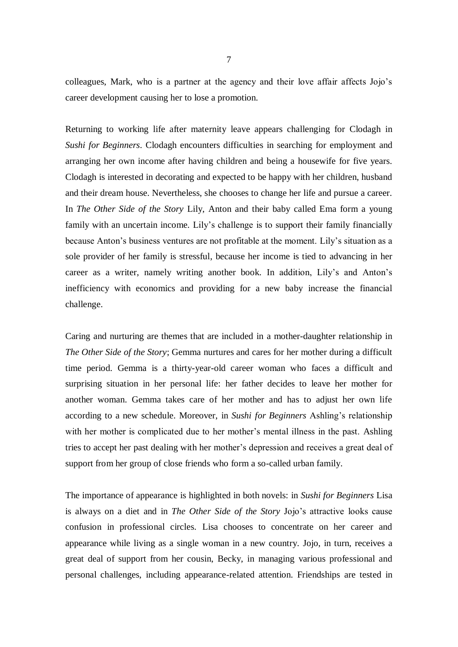colleagues, Mark, who is a partner at the agency and their love affair affects Jojo's career development causing her to lose a promotion.

Returning to working life after maternity leave appears challenging for Clodagh in *Sushi for Beginners*. Clodagh encounters difficulties in searching for employment and arranging her own income after having children and being a housewife for five years. Clodagh is interested in decorating and expected to be happy with her children, husband and their dream house. Nevertheless, she chooses to change her life and pursue a career. In *The Other Side of the Story* Lily, Anton and their baby called Ema form a young family with an uncertain income. Lily's challenge is to support their family financially because Anton's business ventures are not profitable at the moment. Lily's situation as a sole provider of her family is stressful, because her income is tied to advancing in her career as a writer, namely writing another book. In addition, Lily's and Anton's inefficiency with economics and providing for a new baby increase the financial challenge.

Caring and nurturing are themes that are included in a mother-daughter relationship in *The Other Side of the Story*; Gemma nurtures and cares for her mother during a difficult time period. Gemma is a thirty-year-old career woman who faces a difficult and surprising situation in her personal life: her father decides to leave her mother for another woman. Gemma takes care of her mother and has to adjust her own life according to a new schedule. Moreover, in *Sushi for Beginners* Ashling's relationship with her mother is complicated due to her mother's mental illness in the past. Ashling tries to accept her past dealing with her mother's depression and receives a great deal of support from her group of close friends who form a so-called urban family.

The importance of appearance is highlighted in both novels: in *Sushi for Beginners* Lisa is always on a diet and in *The Other Side of the Story* Jojo's attractive looks cause confusion in professional circles. Lisa chooses to concentrate on her career and appearance while living as a single woman in a new country. Jojo, in turn, receives a great deal of support from her cousin, Becky, in managing various professional and personal challenges, including appearance-related attention. Friendships are tested in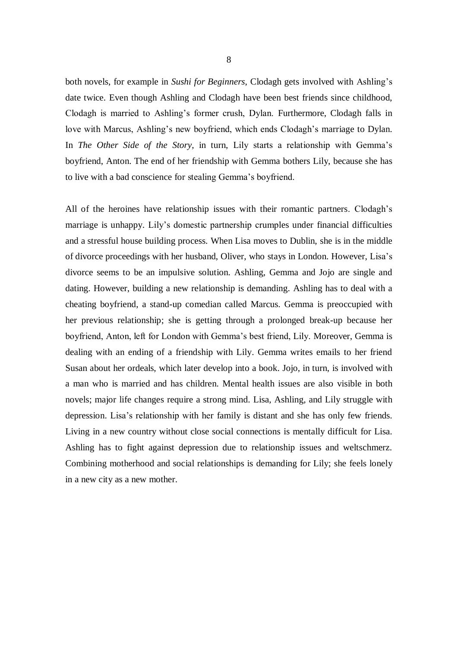both novels, for example in *Sushi for Beginners*, Clodagh gets involved with Ashling's date twice. Even though Ashling and Clodagh have been best friends since childhood, Clodagh is married to Ashling's former crush, Dylan. Furthermore, Clodagh falls in love with Marcus, Ashling's new boyfriend, which ends Clodagh's marriage to Dylan. In *The Other Side of the Story*, in turn, Lily starts a relationship with Gemma's boyfriend, Anton. The end of her friendship with Gemma bothers Lily, because she has to live with a bad conscience for stealing Gemma's boyfriend.

All of the heroines have relationship issues with their romantic partners. Clodagh's marriage is unhappy. Lily's domestic partnership crumples under financial difficulties and a stressful house building process. When Lisa moves to Dublin, she is in the middle of divorce proceedings with her husband, Oliver, who stays in London. However, Lisa's divorce seems to be an impulsive solution. Ashling, Gemma and Jojo are single and dating. However, building a new relationship is demanding. Ashling has to deal with a cheating boyfriend, a stand-up comedian called Marcus. Gemma is preoccupied with her previous relationship; she is getting through a prolonged break-up because her boyfriend, Anton, left for London with Gemma's best friend, Lily. Moreover, Gemma is dealing with an ending of a friendship with Lily. Gemma writes emails to her friend Susan about her ordeals, which later develop into a book. Jojo, in turn, is involved with a man who is married and has children. Mental health issues are also visible in both novels; major life changes require a strong mind. Lisa, Ashling, and Lily struggle with depression. Lisa's relationship with her family is distant and she has only few friends. Living in a new country without close social connections is mentally difficult for Lisa. Ashling has to fight against depression due to relationship issues and weltschmerz. Combining motherhood and social relationships is demanding for Lily; she feels lonely in a new city as a new mother.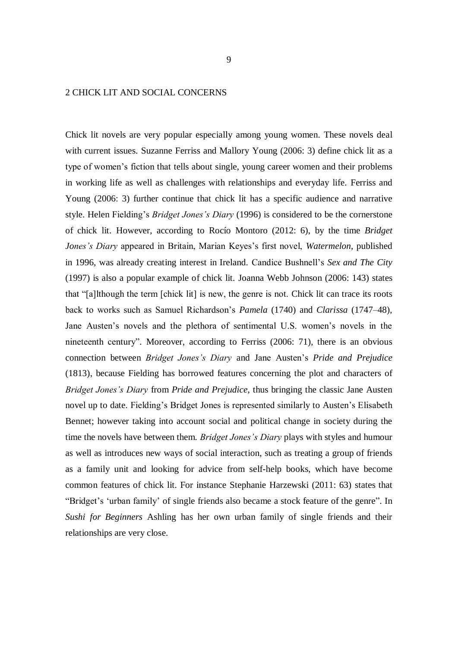### 2 CHICK LIT AND SOCIAL CONCERNS

Chick lit novels are very popular especially among young women. These novels deal with current issues. Suzanne Ferriss and Mallory Young (2006: 3) define chick lit as a type of women's fiction that tells about single, young career women and their problems in working life as well as challenges with relationships and everyday life. Ferriss and Young (2006: 3) further continue that chick lit has a specific audience and narrative style. Helen Fielding's *Bridget Jones's Diary* (1996) is considered to be the cornerstone of chick lit. However, according to Rocío Montoro (2012: 6), by the time *Bridget Jones's Diary* appeared in Britain, Marian Keyes's first novel, *Watermelon*, published in 1996, was already creating interest in Ireland. Candice Bushnell's *Sex and The City* (1997) is also a popular example of chick lit. Joanna Webb Johnson (2006: 143) states that "[a]lthough the term [chick lit] is new, the genre is not. Chick lit can trace its roots back to works such as Samuel Richardson's *Pamela* (1740) and *Clarissa* (1747–48), Jane Austen's novels and the plethora of sentimental U.S. women's novels in the nineteenth century". Moreover, according to Ferriss (2006: 71), there is an obvious connection between *Bridget Jones's Diary* and Jane Austen's *Pride and Prejudice* (1813), because Fielding has borrowed features concerning the plot and characters of *Bridget Jones's Diary* from *Pride and Prejudice*, thus bringing the classic Jane Austen novel up to date. Fielding's Bridget Jones is represented similarly to Austen's Elisabeth Bennet; however taking into account social and political change in society during the time the novels have between them. *Bridget Jones's Diary* plays with styles and humour as well as introduces new ways of social interaction, such as treating a group of friends as a family unit and looking for advice from self-help books, which have become common features of chick lit. For instance Stephanie Harzewski (2011: 63) states that "Bridget's 'urban family' of single friends also became a stock feature of the genre". In *Sushi for Beginners* Ashling has her own urban family of single friends and their relationships are very close.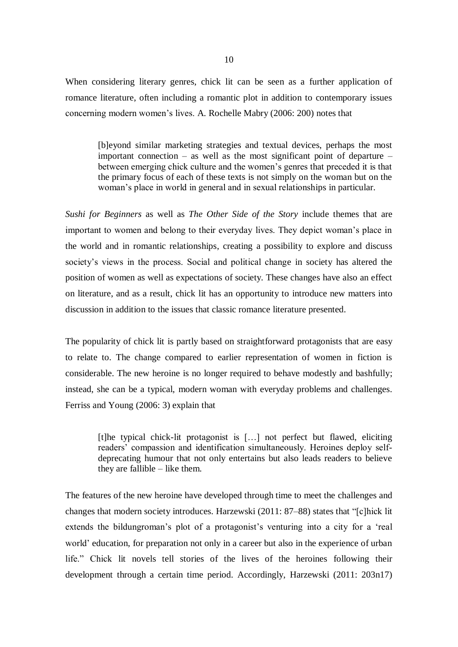When considering literary genres, chick lit can be seen as a further application of romance literature, often including a romantic plot in addition to contemporary issues concerning modern women's lives. A. Rochelle Mabry (2006: 200) notes that

[b]eyond similar marketing strategies and textual devices, perhaps the most important connection – as well as the most significant point of departure – between emerging chick culture and the women's genres that preceded it is that the primary focus of each of these texts is not simply on the woman but on the woman's place in world in general and in sexual relationships in particular.

*Sushi for Beginners* as well as *The Other Side of the Story* include themes that are important to women and belong to their everyday lives. They depict woman's place in the world and in romantic relationships, creating a possibility to explore and discuss society's views in the process. Social and political change in society has altered the position of women as well as expectations of society. These changes have also an effect on literature, and as a result, chick lit has an opportunity to introduce new matters into discussion in addition to the issues that classic romance literature presented.

The popularity of chick lit is partly based on straightforward protagonists that are easy to relate to. The change compared to earlier representation of women in fiction is considerable. The new heroine is no longer required to behave modestly and bashfully; instead, she can be a typical, modern woman with everyday problems and challenges. Ferriss and Young (2006: 3) explain that

[t]he typical chick-lit protagonist is […] not perfect but flawed, eliciting readers' compassion and identification simultaneously. Heroines deploy selfdeprecating humour that not only entertains but also leads readers to believe they are fallible – like them.

The features of the new heroine have developed through time to meet the challenges and changes that modern society introduces. Harzewski (2011: 87–88) states that "[c]hick lit extends the bildungroman's plot of a protagonist's venturing into a city for a 'real world' education, for preparation not only in a career but also in the experience of urban life." Chick lit novels tell stories of the lives of the heroines following their development through a certain time period. Accordingly, Harzewski (2011: 203n17)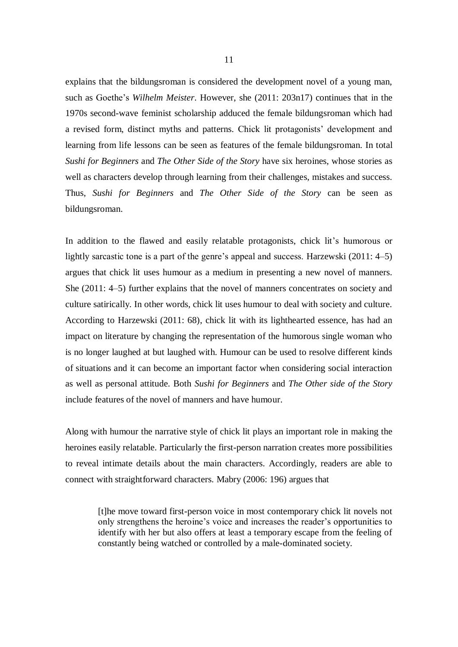explains that the bildungsroman is considered the development novel of a young man, such as Goethe's *Wilhelm Meister*. However, she (2011: 203n17) continues that in the 1970s second-wave feminist scholarship adduced the female bildungsroman which had a revised form, distinct myths and patterns. Chick lit protagonists' development and learning from life lessons can be seen as features of the female bildungsroman. In total *Sushi for Beginners* and *The Other Side of the Story* have six heroines, whose stories as well as characters develop through learning from their challenges, mistakes and success. Thus, *Sushi for Beginners* and *The Other Side of the Story* can be seen as bildungsroman.

In addition to the flawed and easily relatable protagonists, chick lit's humorous or lightly sarcastic tone is a part of the genre's appeal and success. Harzewski (2011: 4–5) argues that chick lit uses humour as a medium in presenting a new novel of manners. She (2011: 4–5) further explains that the novel of manners concentrates on society and culture satirically. In other words, chick lit uses humour to deal with society and culture. According to Harzewski (2011: 68), chick lit with its lighthearted essence, has had an impact on literature by changing the representation of the humorous single woman who is no longer laughed at but laughed with. Humour can be used to resolve different kinds of situations and it can become an important factor when considering social interaction as well as personal attitude. Both *Sushi for Beginners* and *The Other side of the Story*  include features of the novel of manners and have humour.

Along with humour the narrative style of chick lit plays an important role in making the heroines easily relatable. Particularly the first-person narration creates more possibilities to reveal intimate details about the main characters. Accordingly, readers are able to connect with straightforward characters. Mabry (2006: 196) argues that

[t]he move toward first-person voice in most contemporary chick lit novels not only strengthens the heroine's voice and increases the reader's opportunities to identify with her but also offers at least a temporary escape from the feeling of constantly being watched or controlled by a male-dominated society.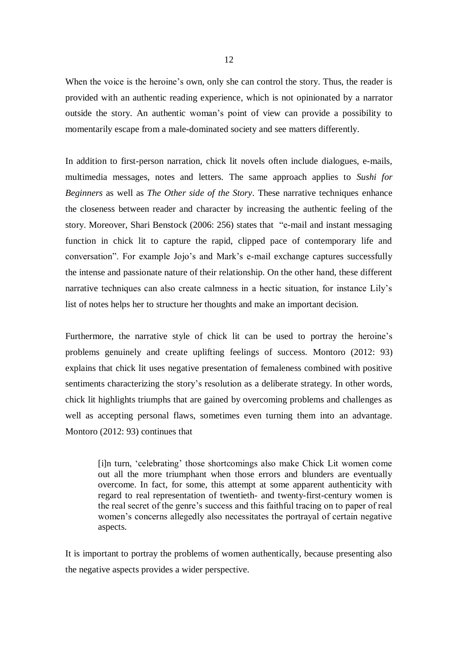When the voice is the heroine's own, only she can control the story. Thus, the reader is provided with an authentic reading experience, which is not opinionated by a narrator outside the story. An authentic woman's point of view can provide a possibility to momentarily escape from a male-dominated society and see matters differently.

In addition to first-person narration, chick lit novels often include dialogues, e-mails, multimedia messages, notes and letters. The same approach applies to *Sushi for Beginners* as well as *The Other side of the Story*. These narrative techniques enhance the closeness between reader and character by increasing the authentic feeling of the story. Moreover, Shari Benstock (2006: 256) states that "e-mail and instant messaging function in chick lit to capture the rapid, clipped pace of contemporary life and conversation". For example Jojo's and Mark's e-mail exchange captures successfully the intense and passionate nature of their relationship. On the other hand, these different narrative techniques can also create calmness in a hectic situation, for instance Lily's list of notes helps her to structure her thoughts and make an important decision.

Furthermore, the narrative style of chick lit can be used to portray the heroine's problems genuinely and create uplifting feelings of success. Montoro (2012: 93) explains that chick lit uses negative presentation of femaleness combined with positive sentiments characterizing the story's resolution as a deliberate strategy. In other words, chick lit highlights triumphs that are gained by overcoming problems and challenges as well as accepting personal flaws, sometimes even turning them into an advantage. Montoro (2012: 93) continues that

[i]n turn, 'celebrating' those shortcomings also make Chick Lit women come out all the more triumphant when those errors and blunders are eventually overcome. In fact, for some, this attempt at some apparent authenticity with regard to real representation of twentieth- and twenty-first-century women is the real secret of the genre's success and this faithful tracing on to paper of real women's concerns allegedly also necessitates the portrayal of certain negative aspects.

It is important to portray the problems of women authentically, because presenting also the negative aspects provides a wider perspective.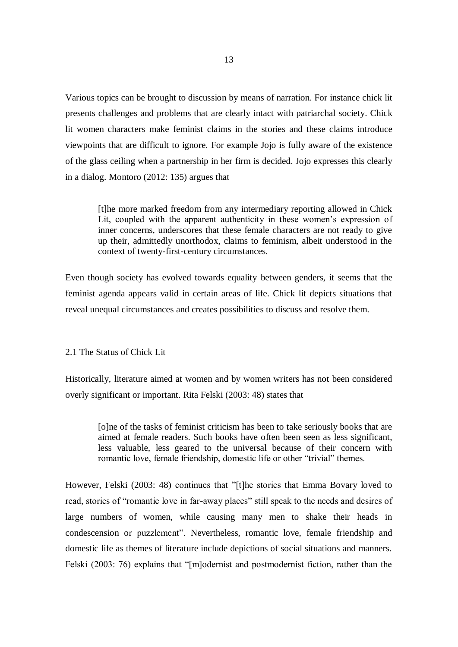Various topics can be brought to discussion by means of narration. For instance chick lit presents challenges and problems that are clearly intact with patriarchal society. Chick lit women characters make feminist claims in the stories and these claims introduce viewpoints that are difficult to ignore. For example Jojo is fully aware of the existence of the glass ceiling when a partnership in her firm is decided. Jojo expresses this clearly in a dialog. Montoro (2012: 135) argues that

[t]he more marked freedom from any intermediary reporting allowed in Chick Lit, coupled with the apparent authenticity in these women's expression of inner concerns, underscores that these female characters are not ready to give up their, admittedly unorthodox, claims to feminism, albeit understood in the context of twenty-first-century circumstances.

Even though society has evolved towards equality between genders, it seems that the feminist agenda appears valid in certain areas of life. Chick lit depicts situations that reveal unequal circumstances and creates possibilities to discuss and resolve them.

2.1 The Status of Chick Lit

Historically, literature aimed at women and by women writers has not been considered overly significant or important. Rita Felski (2003: 48) states that

[o]ne of the tasks of feminist criticism has been to take seriously books that are aimed at female readers. Such books have often been seen as less significant, less valuable, less geared to the universal because of their concern with romantic love, female friendship, domestic life or other "trivial" themes.

However, Felski (2003: 48) continues that "[t]he stories that Emma Bovary loved to read, stories of "romantic love in far-away places" still speak to the needs and desires of large numbers of women, while causing many men to shake their heads in condescension or puzzlement". Nevertheless, romantic love, female friendship and domestic life as themes of literature include depictions of social situations and manners. Felski (2003: 76) explains that "[m]odernist and postmodernist fiction, rather than the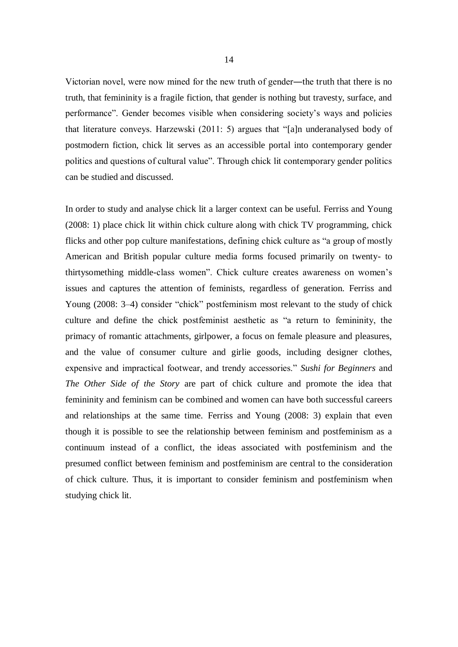Victorian novel, were now mined for the new truth of gender―the truth that there is no truth, that femininity is a fragile fiction, that gender is nothing but travesty, surface, and performance". Gender becomes visible when considering society's ways and policies that literature conveys. Harzewski (2011: 5) argues that "[a]n underanalysed body of postmodern fiction, chick lit serves as an accessible portal into contemporary gender politics and questions of cultural value". Through chick lit contemporary gender politics can be studied and discussed.

In order to study and analyse chick lit a larger context can be useful. Ferriss and Young (2008: 1) place chick lit within chick culture along with chick TV programming, chick flicks and other pop culture manifestations, defining chick culture as "a group of mostly American and British popular culture media forms focused primarily on twenty- to thirtysomething middle-class women". Chick culture creates awareness on women's issues and captures the attention of feminists, regardless of generation. Ferriss and Young (2008: 3–4) consider "chick" postfeminism most relevant to the study of chick culture and define the chick postfeminist aesthetic as "a return to femininity, the primacy of romantic attachments, girlpower, a focus on female pleasure and pleasures, and the value of consumer culture and girlie goods, including designer clothes, expensive and impractical footwear, and trendy accessories." *Sushi for Beginners* and *The Other Side of the Story* are part of chick culture and promote the idea that femininity and feminism can be combined and women can have both successful careers and relationships at the same time. Ferriss and Young (2008: 3) explain that even though it is possible to see the relationship between feminism and postfeminism as a continuum instead of a conflict, the ideas associated with postfeminism and the presumed conflict between feminism and postfeminism are central to the consideration of chick culture. Thus, it is important to consider feminism and postfeminism when studying chick lit.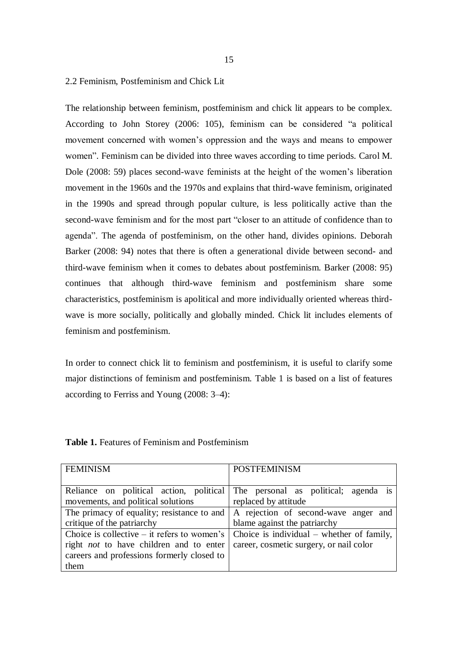### 2.2 Feminism, Postfeminism and Chick Lit

The relationship between feminism, postfeminism and chick lit appears to be complex. According to John Storey (2006: 105), feminism can be considered "a political movement concerned with women's oppression and the ways and means to empower women". Feminism can be divided into three waves according to time periods. Carol M. Dole (2008: 59) places second-wave feminists at the height of the women's liberation movement in the 1960s and the 1970s and explains that third-wave feminism, originated in the 1990s and spread through popular culture, is less politically active than the second-wave feminism and for the most part "closer to an attitude of confidence than to agenda". The agenda of postfeminism, on the other hand, divides opinions. Deborah Barker (2008: 94) notes that there is often a generational divide between second- and third-wave feminism when it comes to debates about postfeminism. Barker (2008: 95) continues that although third-wave feminism and postfeminism share some characteristics, postfeminism is apolitical and more individually oriented whereas thirdwave is more socially, politically and globally minded. Chick lit includes elements of feminism and postfeminism.

In order to connect chick lit to feminism and postfeminism, it is useful to clarify some major distinctions of feminism and postfeminism. Table 1 is based on a list of features according to Ferriss and Young (2008: 3–4):

| <b>FEMINISM</b>                                                                   | <b>POSTFEMINISM</b>                       |
|-----------------------------------------------------------------------------------|-------------------------------------------|
|                                                                                   |                                           |
| Reliance on political action, political                                           | The personal as political; agenda is      |
| movements, and political solutions                                                | replaced by attitude                      |
| The primacy of equality; resistance to and   A rejection of second-wave anger and |                                           |
| critique of the patriarchy                                                        | blame against the patriarchy              |
| Choice is collective $-$ it refers to women's                                     | Choice is individual – whether of family, |
| right <i>not</i> to have children and to enter                                    | career, cosmetic surgery, or nail color   |
| careers and professions formerly closed to                                        |                                           |
| them                                                                              |                                           |

**Table 1.** Features of Feminism and Postfeminism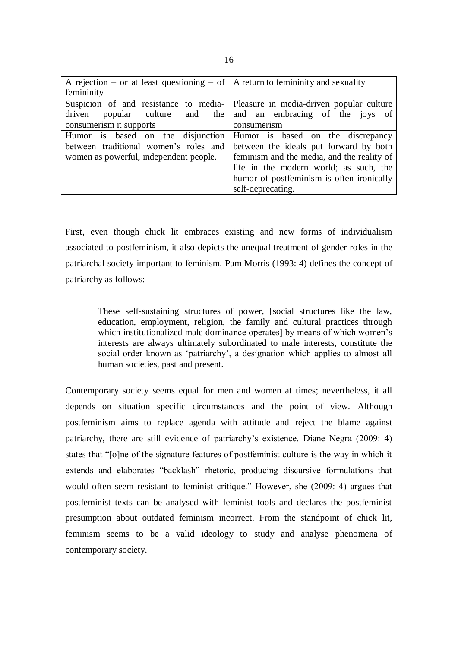| A rejection – or at least questioning – of $\vert$ A return to femininity and sexuality |                                                                |
|-----------------------------------------------------------------------------------------|----------------------------------------------------------------|
| femininity                                                                              |                                                                |
| Suspicion of and resistance to media- Pleasure in media-driven popular culture          |                                                                |
|                                                                                         | driven popular culture and the and an embracing of the joys of |
| consumerism it supports                                                                 | consumerism                                                    |
| Humor is based on the disjunction Humor is based on the discrepancy                     |                                                                |
| between traditional women's roles and                                                   | between the ideals put forward by both                         |
| women as powerful, independent people.                                                  | feminism and the media, and the reality of                     |
|                                                                                         | life in the modern world; as such, the                         |
|                                                                                         | humor of postfeminism is often ironically                      |
|                                                                                         | self-deprecating.                                              |

First, even though chick lit embraces existing and new forms of individualism associated to postfeminism, it also depicts the unequal treatment of gender roles in the patriarchal society important to feminism. Pam Morris (1993: 4) defines the concept of patriarchy as follows:

These self-sustaining structures of power, [social structures like the law, education, employment, religion, the family and cultural practices through which institutionalized male dominance operates] by means of which women's interests are always ultimately subordinated to male interests, constitute the social order known as 'patriarchy', a designation which applies to almost all human societies, past and present.

Contemporary society seems equal for men and women at times; nevertheless, it all depends on situation specific circumstances and the point of view. Although postfeminism aims to replace agenda with attitude and reject the blame against patriarchy, there are still evidence of patriarchy's existence. Diane Negra (2009: 4) states that "[o]ne of the signature features of postfeminist culture is the way in which it extends and elaborates "backlash" rhetoric, producing discursive formulations that would often seem resistant to feminist critique." However, she (2009: 4) argues that postfeminist texts can be analysed with feminist tools and declares the postfeminist presumption about outdated feminism incorrect. From the standpoint of chick lit, feminism seems to be a valid ideology to study and analyse phenomena of contemporary society.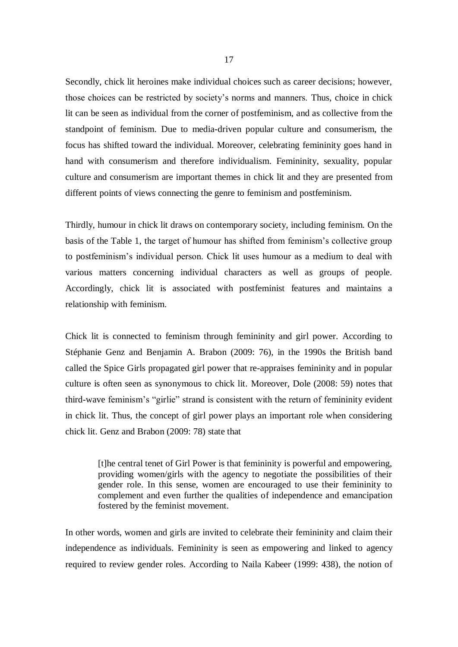Secondly, chick lit heroines make individual choices such as career decisions; however, those choices can be restricted by society's norms and manners. Thus, choice in chick lit can be seen as individual from the corner of postfeminism, and as collective from the standpoint of feminism. Due to media-driven popular culture and consumerism, the focus has shifted toward the individual. Moreover, celebrating femininity goes hand in hand with consumerism and therefore individualism. Femininity, sexuality, popular culture and consumerism are important themes in chick lit and they are presented from different points of views connecting the genre to feminism and postfeminism.

Thirdly, humour in chick lit draws on contemporary society, including feminism. On the basis of the Table 1, the target of humour has shifted from feminism's collective group to postfeminism's individual person. Chick lit uses humour as a medium to deal with various matters concerning individual characters as well as groups of people. Accordingly, chick lit is associated with postfeminist features and maintains a relationship with feminism.

Chick lit is connected to feminism through femininity and girl power. According to Stéphanie Genz and Benjamin A. Brabon (2009: 76), in the 1990s the British band called the Spice Girls propagated girl power that re-appraises femininity and in popular culture is often seen as synonymous to chick lit. Moreover, Dole (2008: 59) notes that third-wave feminism's "girlie" strand is consistent with the return of femininity evident in chick lit. Thus, the concept of girl power plays an important role when considering chick lit. Genz and Brabon (2009: 78) state that

[t]he central tenet of Girl Power is that femininity is powerful and empowering, providing women/girls with the agency to negotiate the possibilities of their gender role. In this sense, women are encouraged to use their femininity to complement and even further the qualities of independence and emancipation fostered by the feminist movement.

In other words, women and girls are invited to celebrate their femininity and claim their independence as individuals. Femininity is seen as empowering and linked to agency required to review gender roles. According to Naila Kabeer (1999: 438), the notion of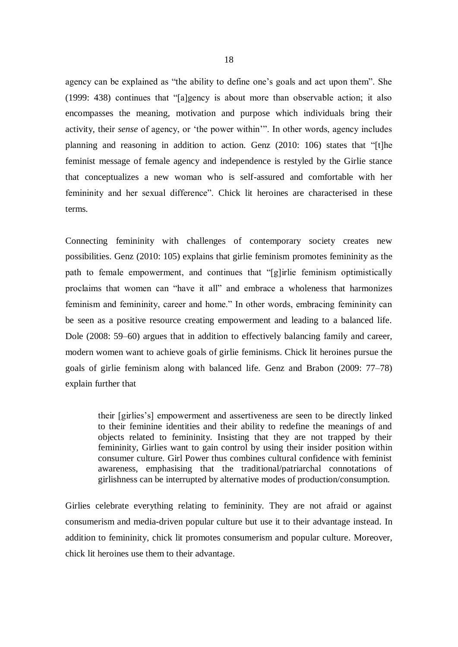agency can be explained as "the ability to define one's goals and act upon them". She (1999: 438) continues that "[a]gency is about more than observable action; it also encompasses the meaning, motivation and purpose which individuals bring their activity, their *sense* of agency, or 'the power within'". In other words, agency includes planning and reasoning in addition to action. Genz (2010: 106) states that "[t]he feminist message of female agency and independence is restyled by the Girlie stance that conceptualizes a new woman who is self-assured and comfortable with her femininity and her sexual difference". Chick lit heroines are characterised in these terms.

Connecting femininity with challenges of contemporary society creates new possibilities. Genz (2010: 105) explains that girlie feminism promotes femininity as the path to female empowerment, and continues that "[g]irlie feminism optimistically proclaims that women can "have it all" and embrace a wholeness that harmonizes feminism and femininity, career and home." In other words, embracing femininity can be seen as a positive resource creating empowerment and leading to a balanced life. Dole (2008: 59–60) argues that in addition to effectively balancing family and career, modern women want to achieve goals of girlie feminisms. Chick lit heroines pursue the goals of girlie feminism along with balanced life. Genz and Brabon (2009: 77–78) explain further that

their [girlies's] empowerment and assertiveness are seen to be directly linked to their feminine identities and their ability to redefine the meanings of and objects related to femininity. Insisting that they are not trapped by their femininity, Girlies want to gain control by using their insider position within consumer culture. Girl Power thus combines cultural confidence with feminist awareness, emphasising that the traditional/patriarchal connotations of girlishness can be interrupted by alternative modes of production/consumption.

Girlies celebrate everything relating to femininity. They are not afraid or against consumerism and media-driven popular culture but use it to their advantage instead. In addition to femininity, chick lit promotes consumerism and popular culture. Moreover, chick lit heroines use them to their advantage.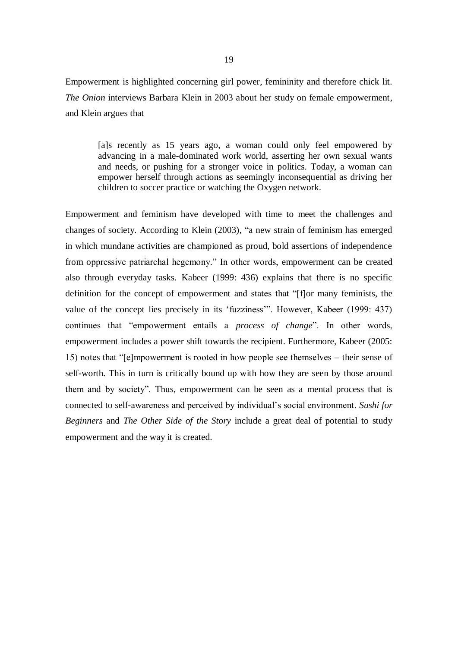Empowerment is highlighted concerning girl power, femininity and therefore chick lit. *The Onion* interviews Barbara Klein in 2003 about her study on female empowerment, and Klein argues that

[a]s recently as 15 years ago, a woman could only feel empowered by advancing in a male-dominated work world, asserting her own sexual wants and needs, or pushing for a stronger voice in politics. Today, a woman can empower herself through actions as seemingly inconsequential as driving her children to soccer practice or watching the Oxygen network.

Empowerment and feminism have developed with time to meet the challenges and changes of society. According to Klein (2003), "a new strain of feminism has emerged in which mundane activities are championed as proud, bold assertions of independence from oppressive patriarchal hegemony." In other words, empowerment can be created also through everyday tasks. Kabeer (1999: 436) explains that there is no specific definition for the concept of empowerment and states that "[f]or many feminists, the value of the concept lies precisely in its 'fuzziness'". However, Kabeer (1999: 437) continues that "empowerment entails a *process of change*". In other words, empowerment includes a power shift towards the recipient. Furthermore, Kabeer (2005: 15) notes that "[e]mpowerment is rooted in how people see themselves – their sense of self-worth. This in turn is critically bound up with how they are seen by those around them and by society". Thus, empowerment can be seen as a mental process that is connected to self-awareness and perceived by individual's social environment. *Sushi for Beginners* and *The Other Side of the Story* include a great deal of potential to study empowerment and the way it is created.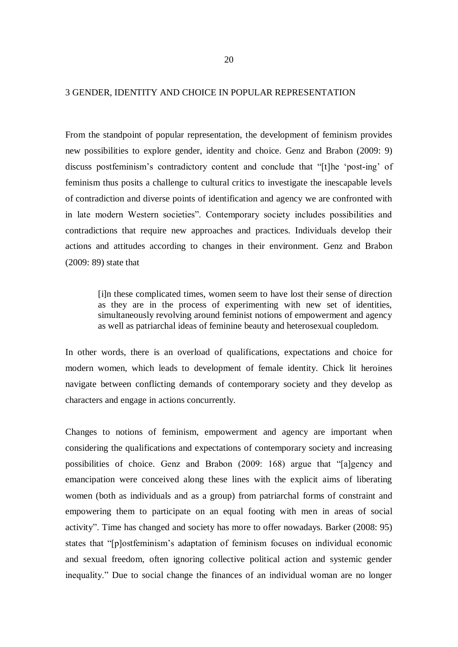#### 3 GENDER, IDENTITY AND CHOICE IN POPULAR REPRESENTATION

From the standpoint of popular representation, the development of feminism provides new possibilities to explore gender, identity and choice. Genz and Brabon (2009: 9) discuss postfeminism's contradictory content and conclude that "[t]he 'post-ing' of feminism thus posits a challenge to cultural critics to investigate the inescapable levels of contradiction and diverse points of identification and agency we are confronted with in late modern Western societies". Contemporary society includes possibilities and contradictions that require new approaches and practices. Individuals develop their actions and attitudes according to changes in their environment. Genz and Brabon (2009: 89) state that

[i]n these complicated times, women seem to have lost their sense of direction as they are in the process of experimenting with new set of identities, simultaneously revolving around feminist notions of empowerment and agency as well as patriarchal ideas of feminine beauty and heterosexual coupledom.

In other words, there is an overload of qualifications, expectations and choice for modern women, which leads to development of female identity. Chick lit heroines navigate between conflicting demands of contemporary society and they develop as characters and engage in actions concurrently.

Changes to notions of feminism, empowerment and agency are important when considering the qualifications and expectations of contemporary society and increasing possibilities of choice. Genz and Brabon (2009: 168) argue that "[a]gency and emancipation were conceived along these lines with the explicit aims of liberating women (both as individuals and as a group) from patriarchal forms of constraint and empowering them to participate on an equal footing with men in areas of social activity". Time has changed and society has more to offer nowadays. Barker (2008: 95) states that "[p]ostfeminism's adaptation of feminism focuses on individual economic and sexual freedom, often ignoring collective political action and systemic gender inequality." Due to social change the finances of an individual woman are no longer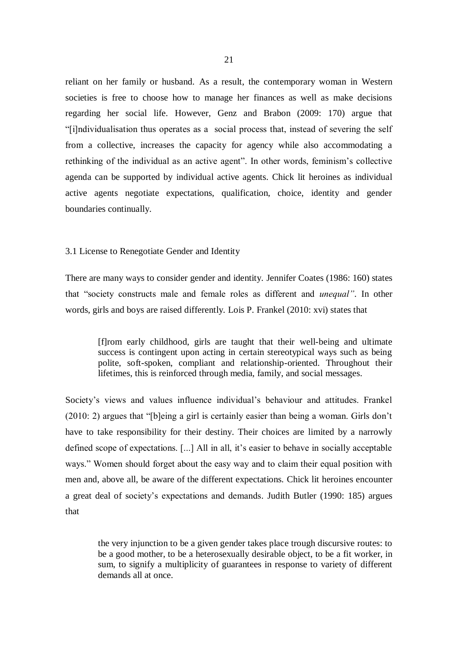reliant on her family or husband. As a result, the contemporary woman in Western societies is free to choose how to manage her finances as well as make decisions regarding her social life. However, Genz and Brabon (2009: 170) argue that "[i]ndividualisation thus operates as a social process that, instead of severing the self from a collective, increases the capacity for agency while also accommodating a rethinking of the individual as an active agent". In other words, feminism's collective agenda can be supported by individual active agents. Chick lit heroines as individual active agents negotiate expectations, qualification, choice, identity and gender boundaries continually.

## 3.1 License to Renegotiate Gender and Identity

There are many ways to consider gender and identity. Jennifer Coates (1986: 160) states that "society constructs male and female roles as different and *unequal"*. In other words, girls and boys are raised differently. Lois P. Frankel (2010: xvi) states that

[f]rom early childhood, girls are taught that their well-being and ultimate success is contingent upon acting in certain stereotypical ways such as being polite, soft-spoken, compliant and relationship-oriented. Throughout their lifetimes, this is reinforced through media, family, and social messages.

Society's views and values influence individual's behaviour and attitudes. Frankel (2010: 2) argues that "[b]eing a girl is certainly easier than being a woman. Girls don't have to take responsibility for their destiny. Their choices are limited by a narrowly defined scope of expectations. [...] All in all, it's easier to behave in socially acceptable ways." Women should forget about the easy way and to claim their equal position with men and, above all, be aware of the different expectations. Chick lit heroines encounter a great deal of society's expectations and demands. Judith Butler (1990: 185) argues that

the very injunction to be a given gender takes place trough discursive routes: to be a good mother, to be a heterosexually desirable object, to be a fit worker, in sum, to signify a multiplicity of guarantees in response to variety of different demands all at once.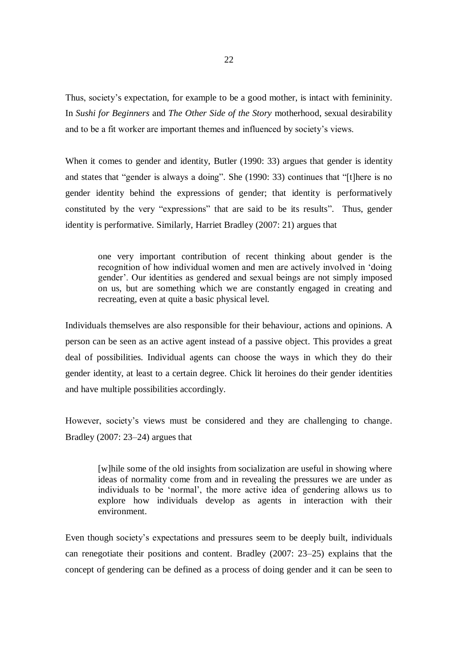Thus, society's expectation, for example to be a good mother, is intact with femininity. In *Sushi for Beginners* and *The Other Side of the Story* motherhood, sexual desirability and to be a fit worker are important themes and influenced by society's views.

When it comes to gender and identity, Butler (1990: 33) argues that gender is identity and states that "gender is always a doing". She (1990: 33) continues that "[t]here is no gender identity behind the expressions of gender; that identity is performatively constituted by the very "expressions" that are said to be its results". Thus, gender identity is performative. Similarly, Harriet Bradley (2007: 21) argues that

one very important contribution of recent thinking about gender is the recognition of how individual women and men are actively involved in 'doing gender'. Our identities as gendered and sexual beings are not simply imposed on us, but are something which we are constantly engaged in creating and recreating, even at quite a basic physical level.

Individuals themselves are also responsible for their behaviour, actions and opinions. A person can be seen as an active agent instead of a passive object. This provides a great deal of possibilities. Individual agents can choose the ways in which they do their gender identity, at least to a certain degree. Chick lit heroines do their gender identities and have multiple possibilities accordingly.

However, society's views must be considered and they are challenging to change. Bradley (2007: 23–24) argues that

[w]hile some of the old insights from socialization are useful in showing where ideas of normality come from and in revealing the pressures we are under as individuals to be 'normal', the more active idea of gendering allows us to explore how individuals develop as agents in interaction with their environment.

Even though society's expectations and pressures seem to be deeply built, individuals can renegotiate their positions and content. Bradley (2007: 23–25) explains that the concept of gendering can be defined as a process of doing gender and it can be seen to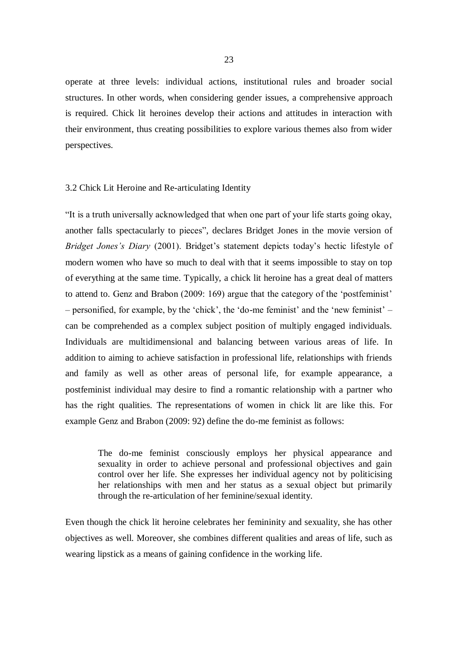operate at three levels: individual actions, institutional rules and broader social structures. In other words, when considering gender issues, a comprehensive approach is required. Chick lit heroines develop their actions and attitudes in interaction with their environment, thus creating possibilities to explore various themes also from wider perspectives.

#### 3.2 Chick Lit Heroine and Re-articulating Identity

"It is a truth universally acknowledged that when one part of your life starts going okay, another falls spectacularly to pieces", declares Bridget Jones in the movie version of *Bridget Jones's Diary* (2001). Bridget's statement depicts today's hectic lifestyle of modern women who have so much to deal with that it seems impossible to stay on top of everything at the same time. Typically, a chick lit heroine has a great deal of matters to attend to. Genz and Brabon (2009: 169) argue that the category of the 'postfeminist' – personified, for example, by the 'chick', the 'do-me feminist' and the 'new feminist' – can be comprehended as a complex subject position of multiply engaged individuals. Individuals are multidimensional and balancing between various areas of life. In addition to aiming to achieve satisfaction in professional life, relationships with friends and family as well as other areas of personal life, for example appearance, a postfeminist individual may desire to find a romantic relationship with a partner who has the right qualities. The representations of women in chick lit are like this. For example Genz and Brabon (2009: 92) define the do-me feminist as follows:

The do-me feminist consciously employs her physical appearance and sexuality in order to achieve personal and professional objectives and gain control over her life. She expresses her individual agency not by politicising her relationships with men and her status as a sexual object but primarily through the re-articulation of her feminine/sexual identity.

Even though the chick lit heroine celebrates her femininity and sexuality, she has other objectives as well. Moreover, she combines different qualities and areas of life, such as wearing lipstick as a means of gaining confidence in the working life.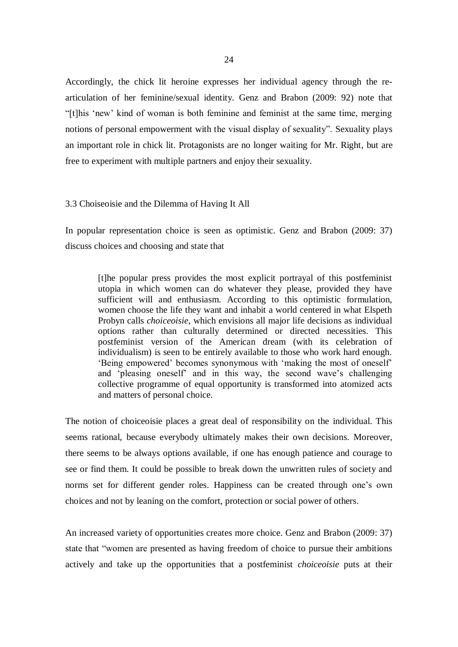Accordingly, the chick lit heroine expresses her individual agency through the rearticulation of her feminine/sexual identity. Genz and Brabon (2009: 92) note that "[t]his 'new' kind of woman is both feminine and feminist at the same time, merging notions of personal empowerment with the visual display of sexuality". Sexuality plays an important role in chick lit. Protagonists are no longer waiting for Mr. Right, but are free to experiment with multiple partners and enjoy their sexuality.

#### 3.3 Choiseoisie and the Dilemma of Having It All

In popular representation choice is seen as optimistic. Genz and Brabon (2009: 37) discuss choices and choosing and state that

[t]he popular press provides the most explicit portrayal of this postfeminist utopia in which women can do whatever they please, provided they have sufficient will and enthusiasm. According to this optimistic formulation, women choose the life they want and inhabit a world centered in what Elspeth Probyn calls *choiceoisie*, which envisions all major life decisions as individual options rather than culturally determined or directed necessities. This postfeminist version of the American dream (with its celebration of individualism) is seen to be entirely available to those who work hard enough. 'Being empowered' becomes synonymous with 'making the most of oneself' and 'pleasing oneself' and in this way, the second wave's challenging collective programme of equal opportunity is transformed into atomized acts and matters of personal choice.

The notion of choiceoisie places a great deal of responsibility on the individual. This seems rational, because everybody ultimately makes their own decisions. Moreover, there seems to be always options available, if one has enough patience and courage to see or find them. It could be possible to break down the unwritten rules of society and norms set for different gender roles. Happiness can be created through one's own choices and not by leaning on the comfort, protection or social power of others.

An increased variety of opportunities creates more choice. Genz and Brabon (2009: 37) state that "women are presented as having freedom of choice to pursue their ambitions actively and take up the opportunities that a postfeminist *choiceoisie* puts at their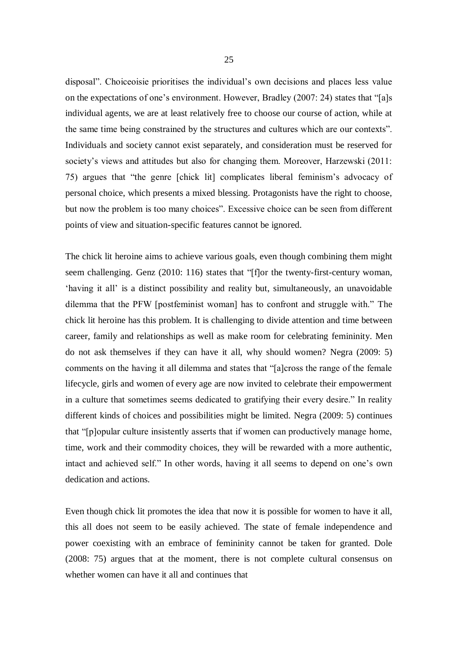disposal". Choiceoisie prioritises the individual's own decisions and places less value on the expectations of one's environment. However, Bradley (2007: 24) states that "[a]s individual agents, we are at least relatively free to choose our course of action, while at the same time being constrained by the structures and cultures which are our contexts". Individuals and society cannot exist separately, and consideration must be reserved for society's views and attitudes but also for changing them. Moreover, Harzewski (2011: 75) argues that "the genre [chick lit] complicates liberal feminism's advocacy of personal choice, which presents a mixed blessing. Protagonists have the right to choose, but now the problem is too many choices". Excessive choice can be seen from different points of view and situation-specific features cannot be ignored.

The chick lit heroine aims to achieve various goals, even though combining them might seem challenging. Genz (2010: 116) states that "[f]or the twenty-first-century woman, 'having it all' is a distinct possibility and reality but, simultaneously, an unavoidable dilemma that the PFW [postfeminist woman] has to confront and struggle with." The chick lit heroine has this problem. It is challenging to divide attention and time between career, family and relationships as well as make room for celebrating femininity. Men do not ask themselves if they can have it all, why should women? Negra (2009: 5) comments on the having it all dilemma and states that "[a]cross the range of the female lifecycle, girls and women of every age are now invited to celebrate their empowerment in a culture that sometimes seems dedicated to gratifying their every desire." In reality different kinds of choices and possibilities might be limited. Negra (2009: 5) continues that "[p]opular culture insistently asserts that if women can productively manage home, time, work and their commodity choices, they will be rewarded with a more authentic, intact and achieved self." In other words, having it all seems to depend on one's own dedication and actions.

Even though chick lit promotes the idea that now it is possible for women to have it all, this all does not seem to be easily achieved. The state of female independence and power coexisting with an embrace of femininity cannot be taken for granted. Dole (2008: 75) argues that at the moment, there is not complete cultural consensus on whether women can have it all and continues that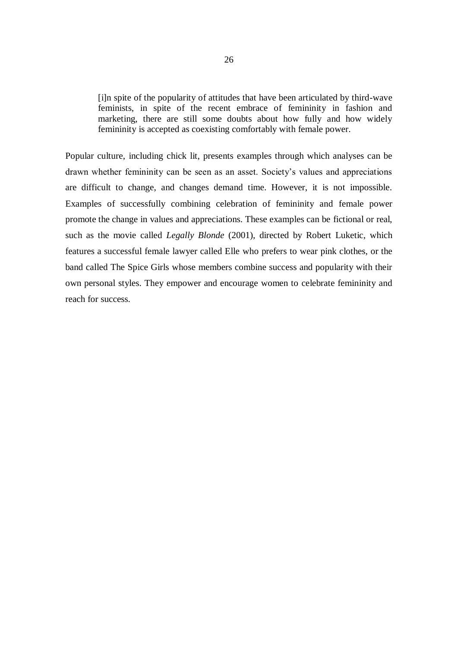[i]n spite of the popularity of attitudes that have been articulated by third-wave feminists, in spite of the recent embrace of femininity in fashion and marketing, there are still some doubts about how fully and how widely femininity is accepted as coexisting comfortably with female power.

Popular culture, including chick lit, presents examples through which analyses can be drawn whether femininity can be seen as an asset. Society's values and appreciations are difficult to change, and changes demand time. However, it is not impossible. Examples of successfully combining celebration of femininity and female power promote the change in values and appreciations. These examples can be fictional or real, such as the movie called *Legally Blonde* (2001), directed by Robert Luketic, which features a successful female lawyer called Elle who prefers to wear pink clothes, or the band called The Spice Girls whose members combine success and popularity with their own personal styles. They empower and encourage women to celebrate femininity and reach for success.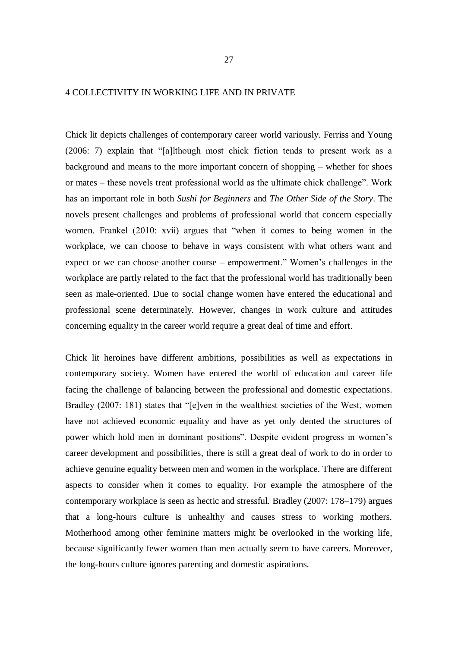## 4 COLLECTIVITY IN WORKING LIFE AND IN PRIVATE

Chick lit depicts challenges of contemporary career world variously. Ferriss and Young (2006: 7) explain that "[a]lthough most chick fiction tends to present work as a background and means to the more important concern of shopping – whether for shoes or mates – these novels treat professional world as the ultimate chick challenge". Work has an important role in both *Sushi for Beginners* and *The Other Side of the Story*. The novels present challenges and problems of professional world that concern especially women. Frankel (2010: xvii) argues that "when it comes to being women in the workplace, we can choose to behave in ways consistent with what others want and expect or we can choose another course – empowerment." Women's challenges in the workplace are partly related to the fact that the professional world has traditionally been seen as male-oriented. Due to social change women have entered the educational and professional scene determinately. However, changes in work culture and attitudes concerning equality in the career world require a great deal of time and effort.

Chick lit heroines have different ambitions, possibilities as well as expectations in contemporary society. Women have entered the world of education and career life facing the challenge of balancing between the professional and domestic expectations. Bradley (2007: 181) states that "[e]ven in the wealthiest societies of the West, women have not achieved economic equality and have as yet only dented the structures of power which hold men in dominant positions". Despite evident progress in women's career development and possibilities, there is still a great deal of work to do in order to achieve genuine equality between men and women in the workplace. There are different aspects to consider when it comes to equality. For example the atmosphere of the contemporary workplace is seen as hectic and stressful. Bradley (2007: 178–179) argues that a long-hours culture is unhealthy and causes stress to working mothers. Motherhood among other feminine matters might be overlooked in the working life, because significantly fewer women than men actually seem to have careers. Moreover, the long-hours culture ignores parenting and domestic aspirations.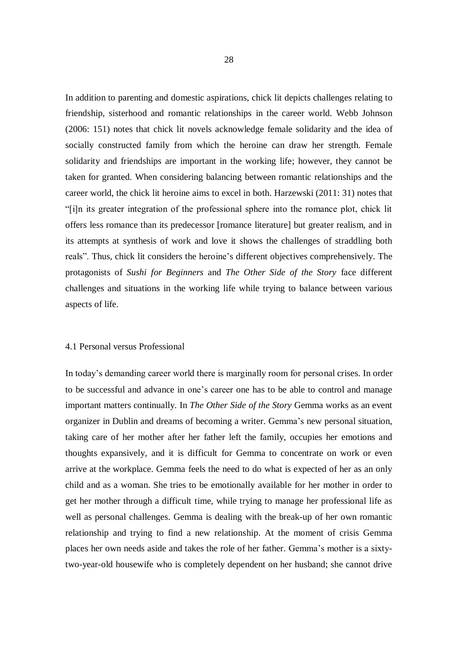In addition to parenting and domestic aspirations, chick lit depicts challenges relating to friendship, sisterhood and romantic relationships in the career world. Webb Johnson (2006: 151) notes that chick lit novels acknowledge female solidarity and the idea of socially constructed family from which the heroine can draw her strength. Female solidarity and friendships are important in the working life; however, they cannot be taken for granted. When considering balancing between romantic relationships and the career world, the chick lit heroine aims to excel in both. Harzewski (2011: 31) notes that "[i]n its greater integration of the professional sphere into the romance plot, chick lit offers less romance than its predecessor [romance literature] but greater realism, and in its attempts at synthesis of work and love it shows the challenges of straddling both reals". Thus, chick lit considers the heroine's different objectives comprehensively. The protagonists of *Sushi for Beginners* and *The Other Side of the Story* face different challenges and situations in the working life while trying to balance between various aspects of life.

#### 4.1 Personal versus Professional

In today's demanding career world there is marginally room for personal crises. In order to be successful and advance in one's career one has to be able to control and manage important matters continually. In *The Other Side of the Story* Gemma works as an event organizer in Dublin and dreams of becoming a writer. Gemma's new personal situation, taking care of her mother after her father left the family, occupies her emotions and thoughts expansively, and it is difficult for Gemma to concentrate on work or even arrive at the workplace. Gemma feels the need to do what is expected of her as an only child and as a woman. She tries to be emotionally available for her mother in order to get her mother through a difficult time, while trying to manage her professional life as well as personal challenges. Gemma is dealing with the break-up of her own romantic relationship and trying to find a new relationship. At the moment of crisis Gemma places her own needs aside and takes the role of her father. Gemma's mother is a sixtytwo-year-old housewife who is completely dependent on her husband; she cannot drive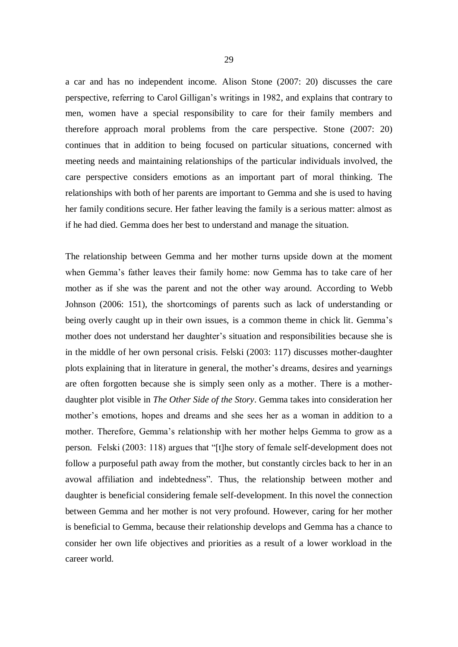a car and has no independent income. Alison Stone (2007: 20) discusses the care perspective, referring to Carol Gilligan's writings in 1982, and explains that contrary to men, women have a special responsibility to care for their family members and therefore approach moral problems from the care perspective. Stone (2007: 20) continues that in addition to being focused on particular situations, concerned with meeting needs and maintaining relationships of the particular individuals involved, the care perspective considers emotions as an important part of moral thinking. The relationships with both of her parents are important to Gemma and she is used to having her family conditions secure. Her father leaving the family is a serious matter: almost as if he had died. Gemma does her best to understand and manage the situation.

The relationship between Gemma and her mother turns upside down at the moment when Gemma's father leaves their family home: now Gemma has to take care of her mother as if she was the parent and not the other way around. According to Webb Johnson (2006: 151), the shortcomings of parents such as lack of understanding or being overly caught up in their own issues, is a common theme in chick lit. Gemma's mother does not understand her daughter's situation and responsibilities because she is in the middle of her own personal crisis. Felski (2003: 117) discusses mother-daughter plots explaining that in literature in general, the mother's dreams, desires and yearnings are often forgotten because she is simply seen only as a mother. There is a motherdaughter plot visible in *The Other Side of the Story*. Gemma takes into consideration her mother's emotions, hopes and dreams and she sees her as a woman in addition to a mother. Therefore, Gemma's relationship with her mother helps Gemma to grow as a person. Felski (2003: 118) argues that "[t]he story of female self-development does not follow a purposeful path away from the mother, but constantly circles back to her in an avowal affiliation and indebtedness". Thus, the relationship between mother and daughter is beneficial considering female self-development. In this novel the connection between Gemma and her mother is not very profound. However, caring for her mother is beneficial to Gemma, because their relationship develops and Gemma has a chance to consider her own life objectives and priorities as a result of a lower workload in the career world.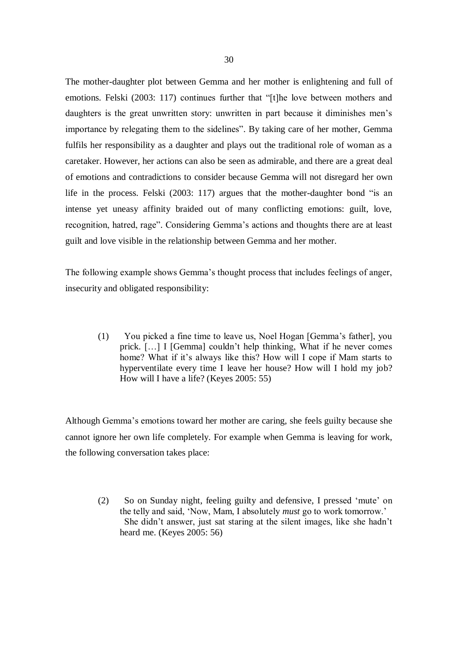The mother-daughter plot between Gemma and her mother is enlightening and full of emotions. Felski (2003: 117) continues further that "[t]he love between mothers and daughters is the great unwritten story: unwritten in part because it diminishes men's importance by relegating them to the sidelines". By taking care of her mother, Gemma fulfils her responsibility as a daughter and plays out the traditional role of woman as a caretaker. However, her actions can also be seen as admirable, and there are a great deal of emotions and contradictions to consider because Gemma will not disregard her own life in the process. Felski (2003: 117) argues that the mother-daughter bond "is an intense yet uneasy affinity braided out of many conflicting emotions: guilt, love, recognition, hatred, rage". Considering Gemma's actions and thoughts there are at least guilt and love visible in the relationship between Gemma and her mother.

The following example shows Gemma's thought process that includes feelings of anger, insecurity and obligated responsibility:

(1) You picked a fine time to leave us, Noel Hogan [Gemma's father], you prick. […] I [Gemma] couldn't help thinking, What if he never comes home? What if it's always like this? How will I cope if Mam starts to hyperventilate every time I leave her house? How will I hold my job? How will I have a life? (Keyes 2005: 55)

Although Gemma's emotions toward her mother are caring, she feels guilty because she cannot ignore her own life completely. For example when Gemma is leaving for work, the following conversation takes place:

(2) So on Sunday night, feeling guilty and defensive, I pressed 'mute' on the telly and said, 'Now, Mam, I absolutely *must* go to work tomorrow.' She didn't answer, just sat staring at the silent images, like she hadn't heard me. (Keyes 2005: 56)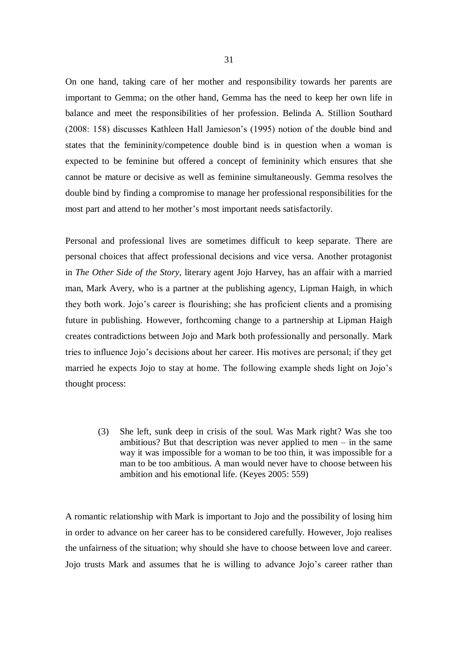On one hand, taking care of her mother and responsibility towards her parents are important to Gemma; on the other hand, Gemma has the need to keep her own life in balance and meet the responsibilities of her profession. Belinda A. Stillion Southard (2008: 158) discusses Kathleen Hall Jamieson's (1995) notion of the double bind and states that the femininity/competence double bind is in question when a woman is expected to be feminine but offered a concept of femininity which ensures that she cannot be mature or decisive as well as feminine simultaneously. Gemma resolves the double bind by finding a compromise to manage her professional responsibilities for the most part and attend to her mother's most important needs satisfactorily.

Personal and professional lives are sometimes difficult to keep separate. There are personal choices that affect professional decisions and vice versa. Another protagonist in *The Other Side of the Story,* literary agent Jojo Harvey, has an affair with a married man, Mark Avery, who is a partner at the publishing agency, Lipman Haigh, in which they both work. Jojo's career is flourishing; she has proficient clients and a promising future in publishing. However, forthcoming change to a partnership at Lipman Haigh creates contradictions between Jojo and Mark both professionally and personally. Mark tries to influence Jojo's decisions about her career. His motives are personal; if they get married he expects Jojo to stay at home. The following example sheds light on Jojo's thought process:

(3) She left, sunk deep in crisis of the soul. Was Mark right? Was she too ambitious? But that description was never applied to men  $-$  in the same way it was impossible for a woman to be too thin, it was impossible for a man to be too ambitious. A man would never have to choose between his ambition and his emotional life. (Keyes 2005: 559)

A romantic relationship with Mark is important to Jojo and the possibility of losing him in order to advance on her career has to be considered carefully. However, Jojo realises the unfairness of the situation; why should she have to choose between love and career. Jojo trusts Mark and assumes that he is willing to advance Jojo's career rather than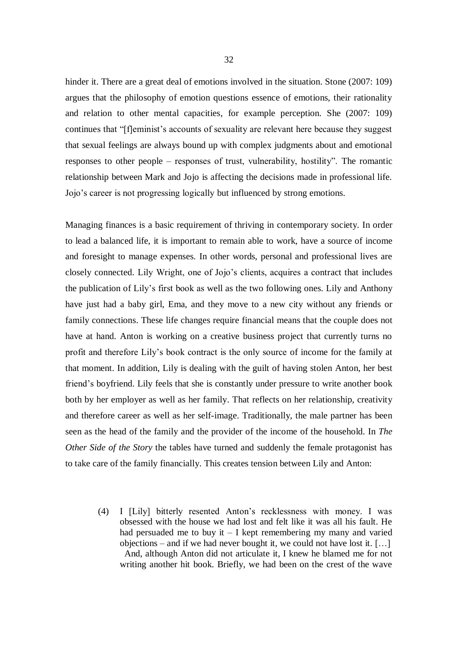hinder it. There are a great deal of emotions involved in the situation. Stone (2007: 109) argues that the philosophy of emotion questions essence of emotions, their rationality and relation to other mental capacities, for example perception. She (2007: 109) continues that "[f]eminist's accounts of sexuality are relevant here because they suggest that sexual feelings are always bound up with complex judgments about and emotional responses to other people – responses of trust, vulnerability, hostility". The romantic relationship between Mark and Jojo is affecting the decisions made in professional life. Jojo's career is not progressing logically but influenced by strong emotions.

Managing finances is a basic requirement of thriving in contemporary society. In order to lead a balanced life, it is important to remain able to work, have a source of income and foresight to manage expenses. In other words, personal and professional lives are closely connected. Lily Wright, one of Jojo's clients, acquires a contract that includes the publication of Lily's first book as well as the two following ones. Lily and Anthony have just had a baby girl, Ema, and they move to a new city without any friends or family connections. These life changes require financial means that the couple does not have at hand. Anton is working on a creative business project that currently turns no profit and therefore Lily's book contract is the only source of income for the family at that moment. In addition, Lily is dealing with the guilt of having stolen Anton, her best friend's boyfriend. Lily feels that she is constantly under pressure to write another book both by her employer as well as her family. That reflects on her relationship, creativity and therefore career as well as her self-image. Traditionally, the male partner has been seen as the head of the family and the provider of the income of the household. In *The Other Side of the Story* the tables have turned and suddenly the female protagonist has to take care of the family financially. This creates tension between Lily and Anton:

(4) I [Lily] bitterly resented Anton's recklessness with money. I was obsessed with the house we had lost and felt like it was all his fault. He had persuaded me to buy it  $- I$  kept remembering my many and varied objections – and if we had never bought it, we could not have lost it.  $[\dots]$  And, although Anton did not articulate it, I knew he blamed me for not writing another hit book. Briefly, we had been on the crest of the wave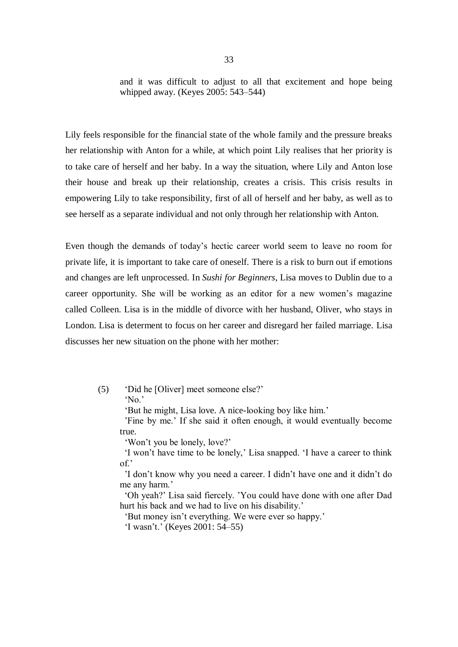and it was difficult to adjust to all that excitement and hope being whipped away. (Keyes 2005: 543–544)

Lily feels responsible for the financial state of the whole family and the pressure breaks her relationship with Anton for a while, at which point Lily realises that her priority is to take care of herself and her baby. In a way the situation, where Lily and Anton lose their house and break up their relationship, creates a crisis. This crisis results in empowering Lily to take responsibility, first of all of herself and her baby, as well as to see herself as a separate individual and not only through her relationship with Anton.

Even though the demands of today's hectic career world seem to leave no room for private life, it is important to take care of oneself. There is a risk to burn out if emotions and changes are left unprocessed. In *Sushi for Beginners*, Lisa moves to Dublin due to a career opportunity. She will be working as an editor for a new women's magazine called Colleen. Lisa is in the middle of divorce with her husband, Oliver, who stays in London. Lisa is determent to focus on her career and disregard her failed marriage. Lisa discusses her new situation on the phone with her mother:

(5) 'Did he [Oliver] meet someone else?' 'No.'

'But he might, Lisa love. A nice-looking boy like him.'

 'Fine by me.' If she said it often enough, it would eventually become true.

'Won't you be lonely, love?'

 'I won't have time to be lonely,' Lisa snapped. 'I have a career to think of.'

 'I don't know why you need a career. I didn't have one and it didn't do me any harm.'

 'Oh yeah?' Lisa said fiercely. 'You could have done with one after Dad hurt his back and we had to live on his disability.'

'But money isn't everything. We were ever so happy.'

'I wasn't.' (Keyes 2001: 54–55)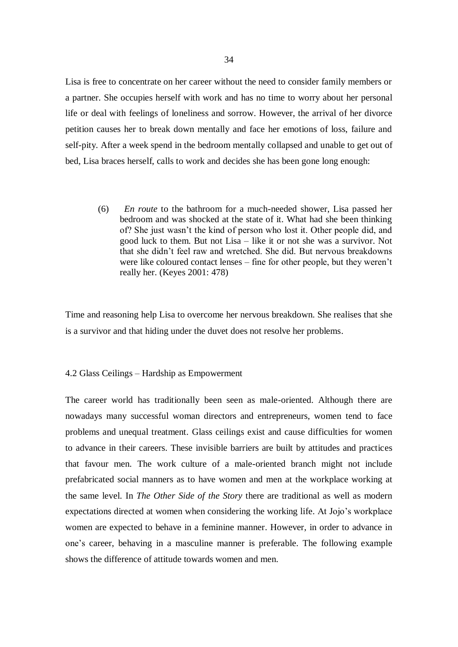Lisa is free to concentrate on her career without the need to consider family members or a partner. She occupies herself with work and has no time to worry about her personal life or deal with feelings of loneliness and sorrow. However, the arrival of her divorce petition causes her to break down mentally and face her emotions of loss, failure and self-pity. After a week spend in the bedroom mentally collapsed and unable to get out of bed, Lisa braces herself, calls to work and decides she has been gone long enough:

(6) *En route* to the bathroom for a much-needed shower, Lisa passed her bedroom and was shocked at the state of it. What had she been thinking of? She just wasn't the kind of person who lost it. Other people did, and good luck to them. But not Lisa – like it or not she was a survivor. Not that she didn't feel raw and wretched. She did. But nervous breakdowns were like coloured contact lenses – fine for other people, but they weren't really her. (Keyes 2001: 478)

Time and reasoning help Lisa to overcome her nervous breakdown. She realises that she is a survivor and that hiding under the duvet does not resolve her problems.

## 4.2 Glass Ceilings – Hardship as Empowerment

The career world has traditionally been seen as male-oriented. Although there are nowadays many successful woman directors and entrepreneurs, women tend to face problems and unequal treatment. Glass ceilings exist and cause difficulties for women to advance in their careers. These invisible barriers are built by attitudes and practices that favour men. The work culture of a male-oriented branch might not include prefabricated social manners as to have women and men at the workplace working at the same level. In *The Other Side of the Story* there are traditional as well as modern expectations directed at women when considering the working life. At Jojo's workplace women are expected to behave in a feminine manner. However, in order to advance in one's career, behaving in a masculine manner is preferable. The following example shows the difference of attitude towards women and men.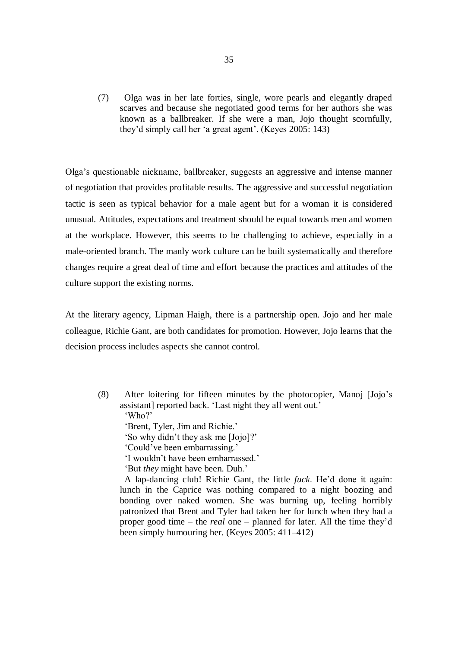(7) Olga was in her late forties, single, wore pearls and elegantly draped scarves and because she negotiated good terms for her authors she was known as a ballbreaker. If she were a man, Jojo thought scornfully, they'd simply call her 'a great agent'. (Keyes 2005: 143)

Olga's questionable nickname, ballbreaker, suggests an aggressive and intense manner of negotiation that provides profitable results. The aggressive and successful negotiation tactic is seen as typical behavior for a male agent but for a woman it is considered unusual. Attitudes, expectations and treatment should be equal towards men and women at the workplace. However, this seems to be challenging to achieve, especially in a male-oriented branch. The manly work culture can be built systematically and therefore changes require a great deal of time and effort because the practices and attitudes of the culture support the existing norms.

At the literary agency, Lipman Haigh, there is a partnership open. Jojo and her male colleague, Richie Gant, are both candidates for promotion. However, Jojo learns that the decision process includes aspects she cannot control.

(8) After loitering for fifteen minutes by the photocopier, Manoj [Jojo's assistant] reported back. 'Last night they all went out.' 'Who?'

 'Brent, Tyler, Jim and Richie.' 'So why didn't they ask me [Jojo]?' 'Could've been embarrassing.'

'I wouldn't have been embarrassed.'

'But *they* might have been. Duh.'

 A lap-dancing club! Richie Gant, the little *fuck*. He'd done it again: lunch in the Caprice was nothing compared to a night boozing and bonding over naked women. She was burning up, feeling horribly patronized that Brent and Tyler had taken her for lunch when they had a proper good time – the *real* one – planned for later. All the time they'd been simply humouring her. (Keyes 2005: 411–412)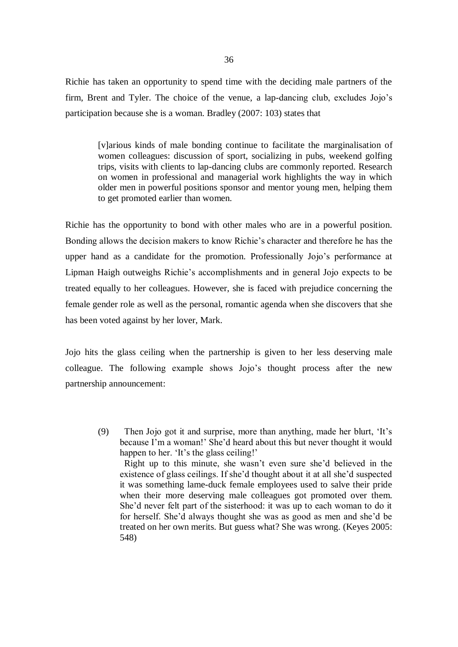Richie has taken an opportunity to spend time with the deciding male partners of the firm, Brent and Tyler. The choice of the venue, a lap-dancing club, excludes Jojo's participation because she is a woman. Bradley (2007: 103) states that

[v]arious kinds of male bonding continue to facilitate the marginalisation of women colleagues: discussion of sport, socializing in pubs, weekend golfing trips, visits with clients to lap-dancing clubs are commonly reported. Research on women in professional and managerial work highlights the way in which older men in powerful positions sponsor and mentor young men, helping them to get promoted earlier than women.

Richie has the opportunity to bond with other males who are in a powerful position. Bonding allows the decision makers to know Richie's character and therefore he has the upper hand as a candidate for the promotion. Professionally Jojo's performance at Lipman Haigh outweighs Richie's accomplishments and in general Jojo expects to be treated equally to her colleagues. However, she is faced with prejudice concerning the female gender role as well as the personal, romantic agenda when she discovers that she has been voted against by her lover, Mark.

Jojo hits the glass ceiling when the partnership is given to her less deserving male colleague. The following example shows Jojo's thought process after the new partnership announcement:

(9) Then Jojo got it and surprise, more than anything, made her blurt, 'It's because I'm a woman!' She'd heard about this but never thought it would happen to her. 'It's the glass ceiling!'

 Right up to this minute, she wasn't even sure she'd believed in the existence of glass ceilings. If she'd thought about it at all she'd suspected it was something lame-duck female employees used to salve their pride when their more deserving male colleagues got promoted over them. She'd never felt part of the sisterhood: it was up to each woman to do it for herself. She'd always thought she was as good as men and she'd be treated on her own merits. But guess what? She was wrong. (Keyes 2005: 548)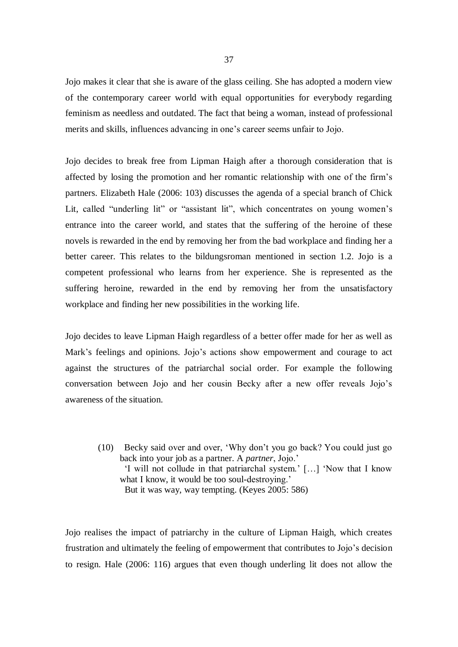Jojo makes it clear that she is aware of the glass ceiling. She has adopted a modern view of the contemporary career world with equal opportunities for everybody regarding feminism as needless and outdated. The fact that being a woman, instead of professional merits and skills, influences advancing in one's career seems unfair to Jojo.

Jojo decides to break free from Lipman Haigh after a thorough consideration that is affected by losing the promotion and her romantic relationship with one of the firm's partners. Elizabeth Hale (2006: 103) discusses the agenda of a special branch of Chick Lit, called "underling lit" or "assistant lit", which concentrates on young women's entrance into the career world, and states that the suffering of the heroine of these novels is rewarded in the end by removing her from the bad workplace and finding her a better career. This relates to the bildungsroman mentioned in section 1.2. Jojo is a competent professional who learns from her experience. She is represented as the suffering heroine, rewarded in the end by removing her from the unsatisfactory workplace and finding her new possibilities in the working life.

Jojo decides to leave Lipman Haigh regardless of a better offer made for her as well as Mark's feelings and opinions. Jojo's actions show empowerment and courage to act against the structures of the patriarchal social order. For example the following conversation between Jojo and her cousin Becky after a new offer reveals Jojo's awareness of the situation.

(10) Becky said over and over, 'Why don't you go back? You could just go back into your job as a partner. A *partner*, Jojo.' 'I will not collude in that patriarchal system.' […] 'Now that I know what I know, it would be too soul-destroying.' But it was way, way tempting. (Keyes 2005: 586)

Jojo realises the impact of patriarchy in the culture of Lipman Haigh, which creates frustration and ultimately the feeling of empowerment that contributes to Jojo's decision to resign. Hale (2006: 116) argues that even though underling lit does not allow the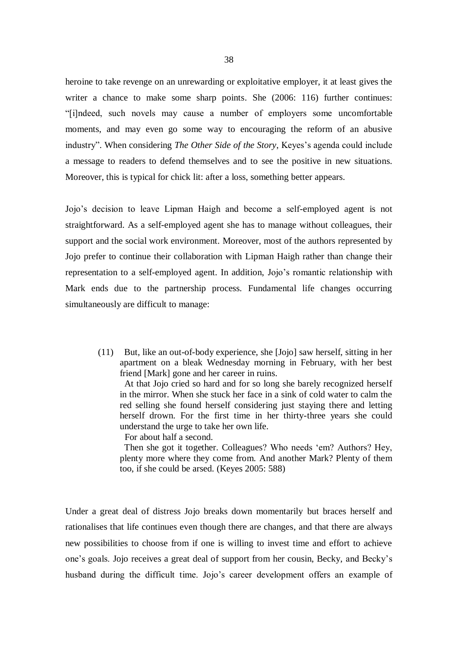heroine to take revenge on an unrewarding or exploitative employer, it at least gives the writer a chance to make some sharp points. She (2006: 116) further continues: "[i]ndeed, such novels may cause a number of employers some uncomfortable moments, and may even go some way to encouraging the reform of an abusive industry". When considering *The Other Side of the Story*, Keyes's agenda could include a message to readers to defend themselves and to see the positive in new situations. Moreover, this is typical for chick lit: after a loss, something better appears.

Jojo's decision to leave Lipman Haigh and become a self-employed agent is not straightforward. As a self-employed agent she has to manage without colleagues, their support and the social work environment. Moreover, most of the authors represented by Jojo prefer to continue their collaboration with Lipman Haigh rather than change their representation to a self-employed agent. In addition, Jojo's romantic relationship with Mark ends due to the partnership process. Fundamental life changes occurring simultaneously are difficult to manage:

(11) But, like an out-of-body experience, she [Jojo] saw herself, sitting in her apartment on a bleak Wednesday morning in February, with her best friend [Mark] gone and her career in ruins.

 At that Jojo cried so hard and for so long she barely recognized herself in the mirror. When she stuck her face in a sink of cold water to calm the red selling she found herself considering just staying there and letting herself drown. For the first time in her thirty-three years she could understand the urge to take her own life.

For about half a second.

 Then she got it together. Colleagues? Who needs 'em? Authors? Hey, plenty more where they come from. And another Mark? Plenty of them too, if she could be arsed. (Keyes 2005: 588)

Under a great deal of distress Jojo breaks down momentarily but braces herself and rationalises that life continues even though there are changes, and that there are always new possibilities to choose from if one is willing to invest time and effort to achieve one's goals. Jojo receives a great deal of support from her cousin, Becky, and Becky's husband during the difficult time. Jojo's career development offers an example of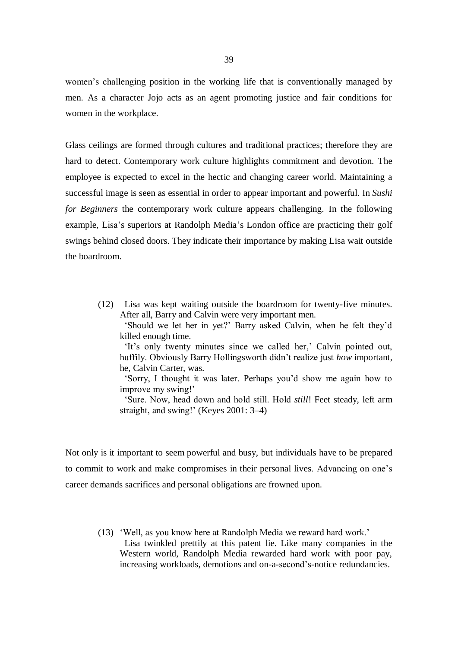women's challenging position in the working life that is conventionally managed by men. As a character Jojo acts as an agent promoting justice and fair conditions for women in the workplace.

Glass ceilings are formed through cultures and traditional practices; therefore they are hard to detect. Contemporary work culture highlights commitment and devotion. The employee is expected to excel in the hectic and changing career world. Maintaining a successful image is seen as essential in order to appear important and powerful. In *Sushi for Beginners* the contemporary work culture appears challenging. In the following example, Lisa's superiors at Randolph Media's London office are practicing their golf swings behind closed doors. They indicate their importance by making Lisa wait outside the boardroom.

> (12) Lisa was kept waiting outside the boardroom for twenty-five minutes. After all, Barry and Calvin were very important men.

 'Should we let her in yet?' Barry asked Calvin, when he felt they'd killed enough time.

 'It's only twenty minutes since we called her,' Calvin pointed out, huffily. Obviously Barry Hollingsworth didn't realize just *how* important, he, Calvin Carter, was.

 'Sorry, I thought it was later. Perhaps you'd show me again how to improve my swing!'

 'Sure. Now, head down and hold still. Hold *still*! Feet steady, left arm straight, and swing!' (Keyes 2001: 3–4)

Not only is it important to seem powerful and busy, but individuals have to be prepared to commit to work and make compromises in their personal lives. Advancing on one's career demands sacrifices and personal obligations are frowned upon.

(13) 'Well, as you know here at Randolph Media we reward hard work.' Lisa twinkled prettily at this patent lie. Like many companies in the Western world, Randolph Media rewarded hard work with poor pay, increasing workloads, demotions and on-a-second's-notice redundancies.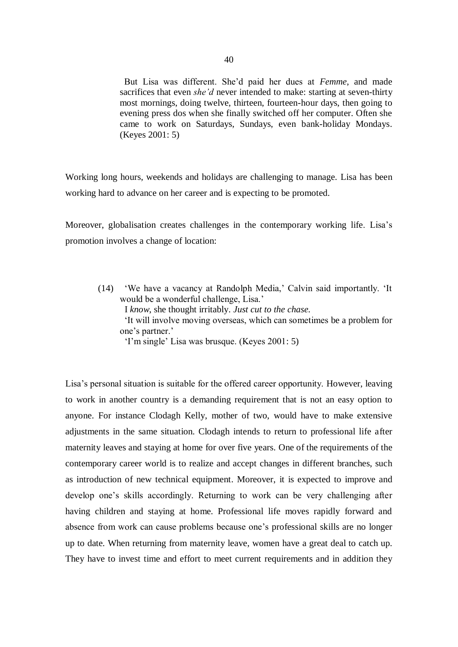But Lisa was different. She'd paid her dues at *Femme*, and made sacrifices that even *she'd* never intended to make: starting at seven-thirty most mornings, doing twelve, thirteen, fourteen-hour days, then going to evening press dos when she finally switched off her computer. Often she came to work on Saturdays, Sundays, even bank-holiday Mondays. (Keyes 2001: 5)

Working long hours, weekends and holidays are challenging to manage. Lisa has been working hard to advance on her career and is expecting to be promoted.

Moreover, globalisation creates challenges in the contemporary working life. Lisa's promotion involves a change of location:

(14) 'We have a vacancy at Randolph Media,' Calvin said importantly. 'It would be a wonderful challenge, Lisa.' I *know*, she thought irritably. *Just cut to the chase*. 'It will involve moving overseas, which can sometimes be a problem for one's partner.' 'I'm single' Lisa was brusque. (Keyes 2001: 5)

Lisa's personal situation is suitable for the offered career opportunity. However, leaving to work in another country is a demanding requirement that is not an easy option to anyone. For instance Clodagh Kelly, mother of two, would have to make extensive adjustments in the same situation. Clodagh intends to return to professional life after maternity leaves and staying at home for over five years. One of the requirements of the contemporary career world is to realize and accept changes in different branches, such as introduction of new technical equipment. Moreover, it is expected to improve and develop one's skills accordingly. Returning to work can be very challenging after having children and staying at home. Professional life moves rapidly forward and absence from work can cause problems because one's professional skills are no longer up to date. When returning from maternity leave, women have a great deal to catch up. They have to invest time and effort to meet current requirements and in addition they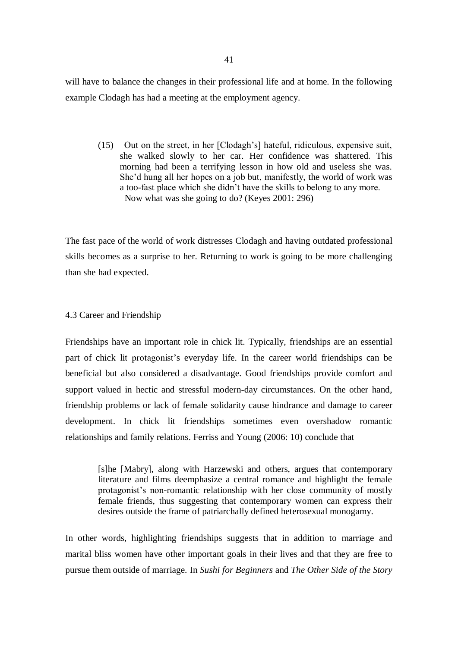will have to balance the changes in their professional life and at home. In the following example Clodagh has had a meeting at the employment agency.

(15) Out on the street, in her [Clodagh's] hateful, ridiculous, expensive suit, she walked slowly to her car. Her confidence was shattered. This morning had been a terrifying lesson in how old and useless she was. She'd hung all her hopes on a job but, manifestly, the world of work was a too-fast place which she didn't have the skills to belong to any more. Now what was she going to do? (Keyes 2001: 296)

The fast pace of the world of work distresses Clodagh and having outdated professional skills becomes as a surprise to her. Returning to work is going to be more challenging than she had expected.

# 4.3 Career and Friendship

Friendships have an important role in chick lit. Typically, friendships are an essential part of chick lit protagonist's everyday life. In the career world friendships can be beneficial but also considered a disadvantage. Good friendships provide comfort and support valued in hectic and stressful modern-day circumstances. On the other hand, friendship problems or lack of female solidarity cause hindrance and damage to career development. In chick lit friendships sometimes even overshadow romantic relationships and family relations. Ferriss and Young (2006: 10) conclude that

[s]he [Mabry], along with Harzewski and others, argues that contemporary literature and films deemphasize a central romance and highlight the female protagonist's non-romantic relationship with her close community of mostly female friends, thus suggesting that contemporary women can express their desires outside the frame of patriarchally defined heterosexual monogamy.

In other words, highlighting friendships suggests that in addition to marriage and marital bliss women have other important goals in their lives and that they are free to pursue them outside of marriage. In *Sushi for Beginners* and *The Other Side of the Story*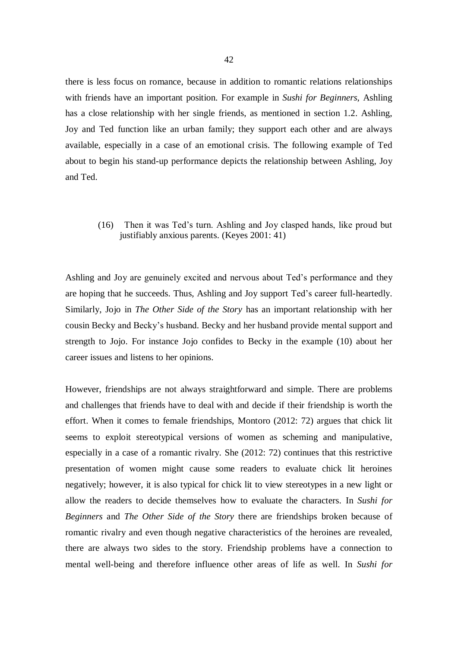there is less focus on romance, because in addition to romantic relations relationships with friends have an important position. For example in *Sushi for Beginners*, Ashling has a close relationship with her single friends, as mentioned in section 1.2. Ashling, Joy and Ted function like an urban family; they support each other and are always available, especially in a case of an emotional crisis. The following example of Ted about to begin his stand-up performance depicts the relationship between Ashling, Joy and Ted.

# (16) Then it was Ted's turn. Ashling and Joy clasped hands, like proud but justifiably anxious parents. (Keyes 2001: 41)

Ashling and Joy are genuinely excited and nervous about Ted's performance and they are hoping that he succeeds. Thus, Ashling and Joy support Ted's career full-heartedly. Similarly, Jojo in *The Other Side of the Story* has an important relationship with her cousin Becky and Becky's husband. Becky and her husband provide mental support and strength to Jojo. For instance Jojo confides to Becky in the example (10) about her career issues and listens to her opinions.

However, friendships are not always straightforward and simple. There are problems and challenges that friends have to deal with and decide if their friendship is worth the effort. When it comes to female friendships, Montoro (2012: 72) argues that chick lit seems to exploit stereotypical versions of women as scheming and manipulative, especially in a case of a romantic rivalry. She (2012: 72) continues that this restrictive presentation of women might cause some readers to evaluate chick lit heroines negatively; however, it is also typical for chick lit to view stereotypes in a new light or allow the readers to decide themselves how to evaluate the characters. In *Sushi for Beginners* and *The Other Side of the Story* there are friendships broken because of romantic rivalry and even though negative characteristics of the heroines are revealed, there are always two sides to the story. Friendship problems have a connection to mental well-being and therefore influence other areas of life as well. In *Sushi for*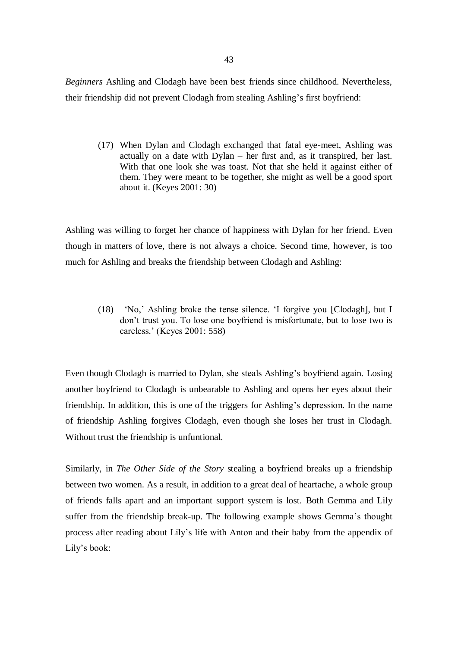*Beginners* Ashling and Clodagh have been best friends since childhood. Nevertheless, their friendship did not prevent Clodagh from stealing Ashling's first boyfriend:

(17) When Dylan and Clodagh exchanged that fatal eye-meet, Ashling was actually on a date with Dylan – her first and, as it transpired, her last. With that one look she was toast. Not that she held it against either of them. They were meant to be together, she might as well be a good sport about it. (Keyes 2001: 30)

Ashling was willing to forget her chance of happiness with Dylan for her friend. Even though in matters of love, there is not always a choice. Second time, however, is too much for Ashling and breaks the friendship between Clodagh and Ashling:

(18) 'No,' Ashling broke the tense silence. 'I forgive you [Clodagh], but I don't trust you. To lose one boyfriend is misfortunate, but to lose two is careless.' (Keyes 2001: 558)

Even though Clodagh is married to Dylan, she steals Ashling's boyfriend again. Losing another boyfriend to Clodagh is unbearable to Ashling and opens her eyes about their friendship. In addition, this is one of the triggers for Ashling's depression. In the name of friendship Ashling forgives Clodagh, even though she loses her trust in Clodagh. Without trust the friendship is unfuntional.

Similarly, in *The Other Side of the Story* stealing a boyfriend breaks up a friendship between two women. As a result, in addition to a great deal of heartache, a whole group of friends falls apart and an important support system is lost. Both Gemma and Lily suffer from the friendship break-up. The following example shows Gemma's thought process after reading about Lily's life with Anton and their baby from the appendix of Lily's book: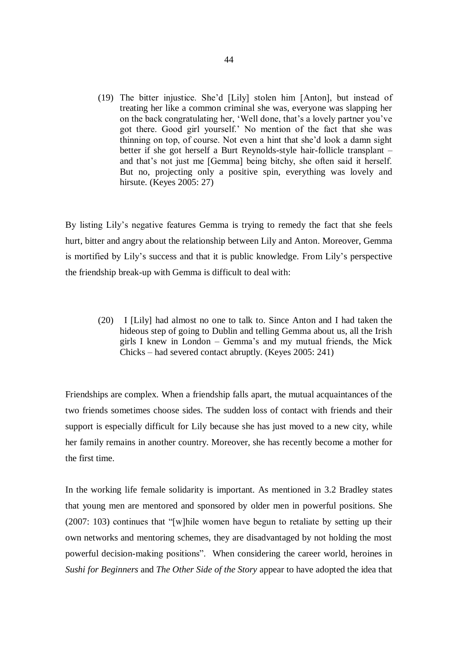(19) The bitter injustice. She'd [Lily] stolen him [Anton], but instead of treating her like a common criminal she was, everyone was slapping her on the back congratulating her, 'Well done, that's a lovely partner you've got there. Good girl yourself.' No mention of the fact that she was thinning on top, of course. Not even a hint that she'd look a damn sight better if she got herself a Burt Reynolds-style hair-follicle transplant – and that's not just me [Gemma] being bitchy, she often said it herself. But no, projecting only a positive spin, everything was lovely and hirsute. (Keyes 2005: 27)

By listing Lily's negative features Gemma is trying to remedy the fact that she feels hurt, bitter and angry about the relationship between Lily and Anton. Moreover, Gemma is mortified by Lily's success and that it is public knowledge. From Lily's perspective the friendship break-up with Gemma is difficult to deal with:

(20) I [Lily] had almost no one to talk to. Since Anton and I had taken the hideous step of going to Dublin and telling Gemma about us, all the Irish girls I knew in London – Gemma's and my mutual friends, the Mick Chicks – had severed contact abruptly. (Keyes 2005: 241)

Friendships are complex. When a friendship falls apart, the mutual acquaintances of the two friends sometimes choose sides. The sudden loss of contact with friends and their support is especially difficult for Lily because she has just moved to a new city, while her family remains in another country. Moreover, she has recently become a mother for the first time.

In the working life female solidarity is important. As mentioned in 3.2 Bradley states that young men are mentored and sponsored by older men in powerful positions. She (2007: 103) continues that "[w]hile women have begun to retaliate by setting up their own networks and mentoring schemes, they are disadvantaged by not holding the most powerful decision-making positions". When considering the career world, heroines in *Sushi for Beginners* and *The Other Side of the Story* appear to have adopted the idea that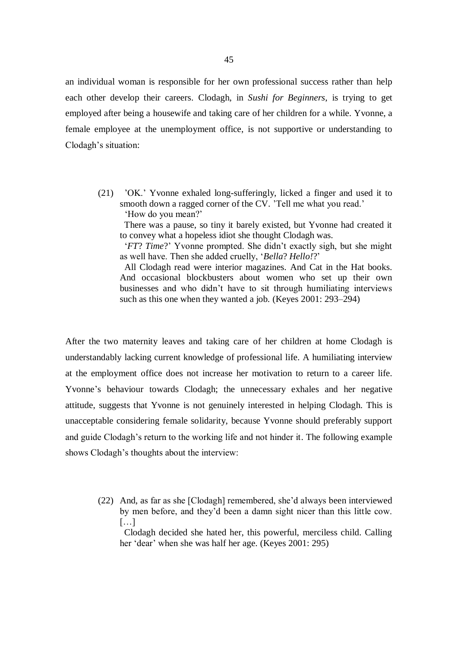an individual woman is responsible for her own professional success rather than help each other develop their careers. Clodagh, in *Sushi for Beginners*, is trying to get employed after being a housewife and taking care of her children for a while. Yvonne, a female employee at the unemployment office, is not supportive or understanding to Clodagh's situation:

(21) 'OK.' Yvonne exhaled long-sufferingly, licked a finger and used it to smooth down a ragged corner of the CV. 'Tell me what you read.' 'How do you mean?'

 There was a pause, so tiny it barely existed, but Yvonne had created it to convey what a hopeless idiot she thought Clodagh was.

 '*FT*? *Time*?' Yvonne prompted. She didn't exactly sigh, but she might as well have. Then she added cruelly, '*Bella*? *Hello!*?'

 All Clodagh read were interior magazines. And Cat in the Hat books. And occasional blockbusters about women who set up their own businesses and who didn't have to sit through humiliating interviews such as this one when they wanted a job. (Keyes 2001: 293–294)

After the two maternity leaves and taking care of her children at home Clodagh is understandably lacking current knowledge of professional life. A humiliating interview at the employment office does not increase her motivation to return to a career life. Yvonne's behaviour towards Clodagh; the unnecessary exhales and her negative attitude, suggests that Yvonne is not genuinely interested in helping Clodagh. This is unacceptable considering female solidarity, because Yvonne should preferably support and guide Clodagh's return to the working life and not hinder it. The following example shows Clodagh's thoughts about the interview:

(22) And, as far as she [Clodagh] remembered, she'd always been interviewed by men before, and they'd been a damn sight nicer than this little cow.  $[...]$ 

 Clodagh decided she hated her, this powerful, merciless child. Calling her 'dear' when she was half her age. (Keyes 2001: 295)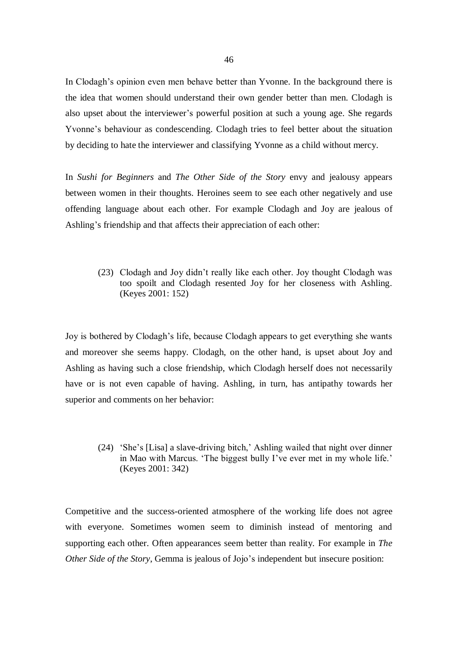In Clodagh's opinion even men behave better than Yvonne. In the background there is the idea that women should understand their own gender better than men. Clodagh is also upset about the interviewer's powerful position at such a young age. She regards Yvonne's behaviour as condescending. Clodagh tries to feel better about the situation by deciding to hate the interviewer and classifying Yvonne as a child without mercy.

In *Sushi for Beginners* and *The Other Side of the Story* envy and jealousy appears between women in their thoughts. Heroines seem to see each other negatively and use offending language about each other. For example Clodagh and Joy are jealous of Ashling's friendship and that affects their appreciation of each other:

(23) Clodagh and Joy didn't really like each other. Joy thought Clodagh was too spoilt and Clodagh resented Joy for her closeness with Ashling. (Keyes 2001: 152)

Joy is bothered by Clodagh's life, because Clodagh appears to get everything she wants and moreover she seems happy. Clodagh, on the other hand, is upset about Joy and Ashling as having such a close friendship, which Clodagh herself does not necessarily have or is not even capable of having. Ashling, in turn, has antipathy towards her superior and comments on her behavior:

(24) 'She's [Lisa] a slave-driving bitch,' Ashling wailed that night over dinner in Mao with Marcus. 'The biggest bully I've ever met in my whole life.' (Keyes 2001: 342)

Competitive and the success-oriented atmosphere of the working life does not agree with everyone. Sometimes women seem to diminish instead of mentoring and supporting each other. Often appearances seem better than reality. For example in *The Other Side of the Story*, Gemma is jealous of Jojo's independent but insecure position: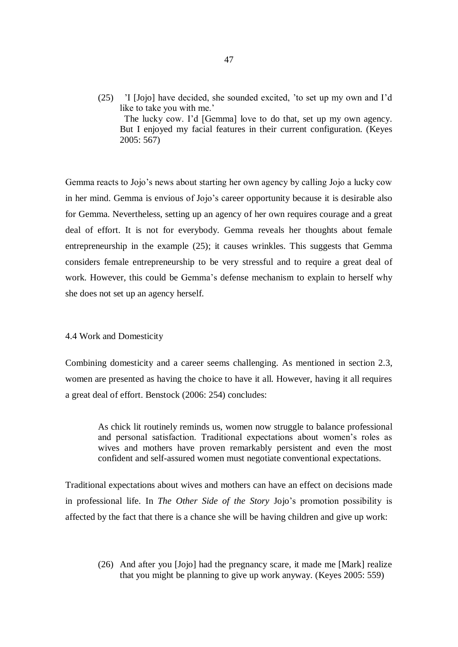(25) 'I [Jojo] have decided, she sounded excited, 'to set up my own and I'd like to take you with me.' The lucky cow. I'd [Gemma] love to do that, set up my own agency.

But I enjoyed my facial features in their current configuration. (Keyes 2005: 567)

Gemma reacts to Jojo's news about starting her own agency by calling Jojo a lucky cow in her mind. Gemma is envious of Jojo's career opportunity because it is desirable also for Gemma. Nevertheless, setting up an agency of her own requires courage and a great deal of effort. It is not for everybody. Gemma reveals her thoughts about female entrepreneurship in the example (25); it causes wrinkles. This suggests that Gemma considers female entrepreneurship to be very stressful and to require a great deal of work. However, this could be Gemma's defense mechanism to explain to herself why she does not set up an agency herself.

4.4 Work and Domesticity

Combining domesticity and a career seems challenging. As mentioned in section 2.3, women are presented as having the choice to have it all. However, having it all requires a great deal of effort. Benstock (2006: 254) concludes:

As chick lit routinely reminds us, women now struggle to balance professional and personal satisfaction. Traditional expectations about women's roles as wives and mothers have proven remarkably persistent and even the most confident and self-assured women must negotiate conventional expectations.

Traditional expectations about wives and mothers can have an effect on decisions made in professional life. In *The Other Side of the Story* Jojo's promotion possibility is affected by the fact that there is a chance she will be having children and give up work:

(26) And after you [Jojo] had the pregnancy scare, it made me [Mark] realize that you might be planning to give up work anyway. (Keyes 2005: 559)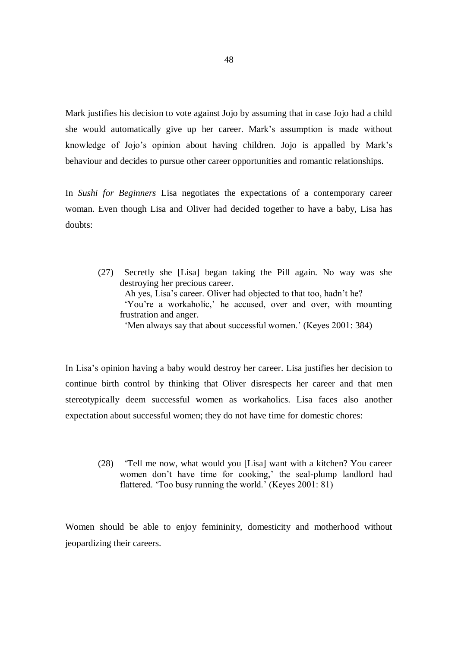Mark justifies his decision to vote against Jojo by assuming that in case Jojo had a child she would automatically give up her career. Mark's assumption is made without knowledge of Jojo's opinion about having children. Jojo is appalled by Mark's behaviour and decides to pursue other career opportunities and romantic relationships.

In *Sushi for Beginners* Lisa negotiates the expectations of a contemporary career woman. Even though Lisa and Oliver had decided together to have a baby, Lisa has doubts:

(27) Secretly she [Lisa] began taking the Pill again. No way was she destroying her precious career. Ah yes, Lisa's career. Oliver had objected to that too, hadn't he? 'You're a workaholic,' he accused, over and over, with mounting frustration and anger. 'Men always say that about successful women.' (Keyes 2001: 384)

In Lisa's opinion having a baby would destroy her career. Lisa justifies her decision to continue birth control by thinking that Oliver disrespects her career and that men stereotypically deem successful women as workaholics. Lisa faces also another expectation about successful women; they do not have time for domestic chores:

(28) 'Tell me now, what would you [Lisa] want with a kitchen? You career women don't have time for cooking,' the seal-plump landlord had flattered. 'Too busy running the world.' (Keyes 2001: 81)

Women should be able to enjoy femininity, domesticity and motherhood without jeopardizing their careers.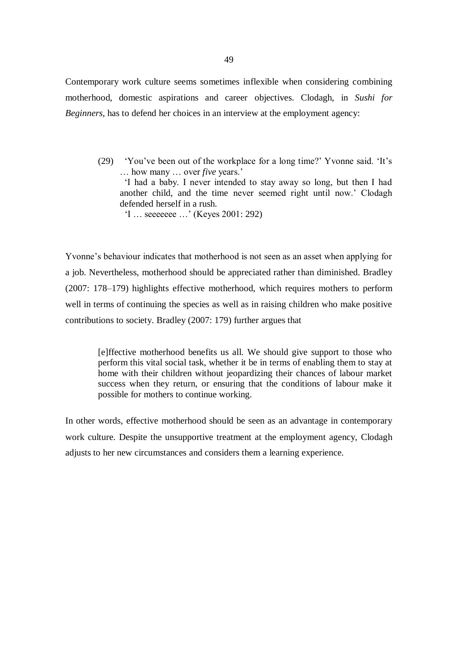Contemporary work culture seems sometimes inflexible when considering combining motherhood, domestic aspirations and career objectives. Clodagh, in *Sushi for Beginners*, has to defend her choices in an interview at the employment agency:

(29) 'You've been out of the workplace for a long time?' Yvonne said. 'It's … how many … over *five* years.' 'I had a baby. I never intended to stay away so long, but then I had another child, and the time never seemed right until now.' Clodagh defended herself in a rush. 'I … seeeeeee …' (Keyes 2001: 292)

Yvonne's behaviour indicates that motherhood is not seen as an asset when applying for a job. Nevertheless, motherhood should be appreciated rather than diminished. Bradley (2007: 178–179) highlights effective motherhood, which requires mothers to perform well in terms of continuing the species as well as in raising children who make positive contributions to society. Bradley (2007: 179) further argues that

[e]ffective motherhood benefits us all. We should give support to those who perform this vital social task, whether it be in terms of enabling them to stay at home with their children without jeopardizing their chances of labour market success when they return, or ensuring that the conditions of labour make it possible for mothers to continue working.

In other words, effective motherhood should be seen as an advantage in contemporary work culture. Despite the unsupportive treatment at the employment agency, Clodagh adjusts to her new circumstances and considers them a learning experience.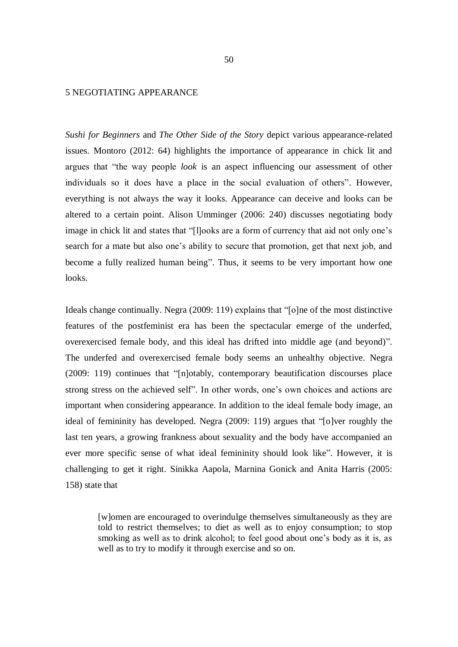# 5 NEGOTIATING APPEARANCE

*Sushi for Beginners* and *The Other Side of the Story* depict various appearance-related issues. Montoro (2012: 64) highlights the importance of appearance in chick lit and argues that "the way people *look* is an aspect influencing our assessment of other individuals so it does have a place in the social evaluation of others". However, everything is not always the way it looks. Appearance can deceive and looks can be altered to a certain point. Alison Umminger (2006: 240) discusses negotiating body image in chick lit and states that "[l]ooks are a form of currency that aid not only one's search for a mate but also one's ability to secure that promotion, get that next job, and become a fully realized human being". Thus, it seems to be very important how one looks.

Ideals change continually. Negra (2009: 119) explains that "[o]ne of the most distinctive features of the postfeminist era has been the spectacular emerge of the underfed, overexercised female body, and this ideal has drifted into middle age (and beyond)". The underfed and overexercised female body seems an unhealthy objective. Negra (2009: 119) continues that "[n]otably, contemporary beautification discourses place strong stress on the achieved self". In other words, one's own choices and actions are important when considering appearance. In addition to the ideal female body image, an ideal of femininity has developed. Negra (2009: 119) argues that "[o]ver roughly the last ten years, a growing frankness about sexuality and the body have accompanied an ever more specific sense of what ideal femininity should look like". However, it is challenging to get it right. Sinikka Aapola, Marnina Gonick and Anita Harris (2005: 158) state that

[w]omen are encouraged to overindulge themselves simultaneously as they are told to restrict themselves; to diet as well as to enjoy consumption; to stop smoking as well as to drink alcohol; to feel good about one's body as it is, as well as to try to modify it through exercise and so on.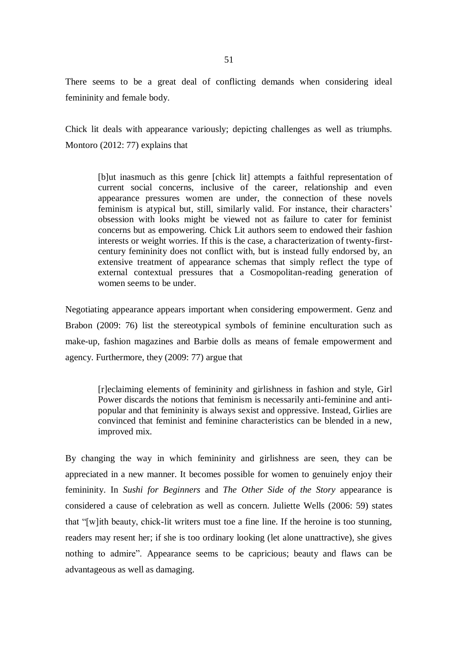There seems to be a great deal of conflicting demands when considering ideal femininity and female body.

Chick lit deals with appearance variously; depicting challenges as well as triumphs. Montoro (2012: 77) explains that

[b]ut inasmuch as this genre [chick lit] attempts a faithful representation of current social concerns, inclusive of the career, relationship and even appearance pressures women are under, the connection of these novels feminism is atypical but, still, similarly valid. For instance, their characters' obsession with looks might be viewed not as failure to cater for feminist concerns but as empowering. Chick Lit authors seem to endowed their fashion interests or weight worries. If this is the case, a characterization of twenty-firstcentury femininity does not conflict with, but is instead fully endorsed by, an extensive treatment of appearance schemas that simply reflect the type of external contextual pressures that a Cosmopolitan-reading generation of women seems to be under.

Negotiating appearance appears important when considering empowerment. Genz and Brabon (2009: 76) list the stereotypical symbols of feminine enculturation such as make-up, fashion magazines and Barbie dolls as means of female empowerment and agency. Furthermore, they (2009: 77) argue that

[r]eclaiming elements of femininity and girlishness in fashion and style, Girl Power discards the notions that feminism is necessarily anti-feminine and antipopular and that femininity is always sexist and oppressive. Instead, Girlies are convinced that feminist and feminine characteristics can be blended in a new, improved mix.

By changing the way in which femininity and girlishness are seen, they can be appreciated in a new manner. It becomes possible for women to genuinely enjoy their femininity. In *Sushi for Beginners* and *The Other Side of the Story* appearance is considered a cause of celebration as well as concern. Juliette Wells (2006: 59) states that "[w]ith beauty, chick-lit writers must toe a fine line. If the heroine is too stunning, readers may resent her; if she is too ordinary looking (let alone unattractive), she gives nothing to admire". Appearance seems to be capricious; beauty and flaws can be advantageous as well as damaging.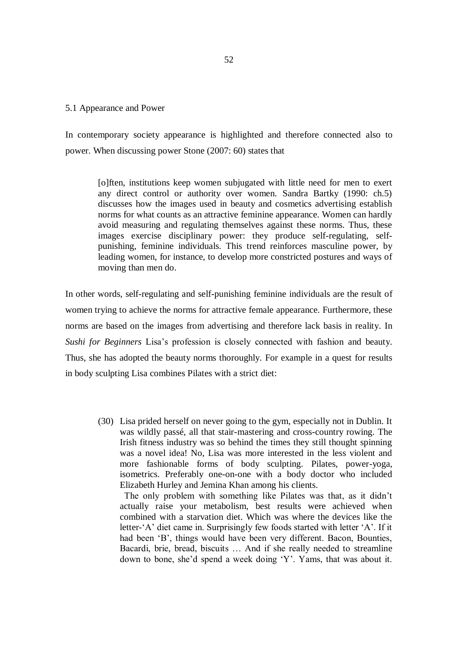# 5.1 Appearance and Power

In contemporary society appearance is highlighted and therefore connected also to power. When discussing power Stone (2007: 60) states that

[o]ften, institutions keep women subjugated with little need for men to exert any direct control or authority over women. Sandra Bartky (1990: ch.5) discusses how the images used in beauty and cosmetics advertising establish norms for what counts as an attractive feminine appearance. Women can hardly avoid measuring and regulating themselves against these norms. Thus, these images exercise disciplinary power: they produce self-regulating, selfpunishing, feminine individuals. This trend reinforces masculine power, by leading women, for instance, to develop more constricted postures and ways of moving than men do.

In other words, self-regulating and self-punishing feminine individuals are the result of women trying to achieve the norms for attractive female appearance. Furthermore, these norms are based on the images from advertising and therefore lack basis in reality. In *Sushi for Beginners* Lisa's profession is closely connected with fashion and beauty. Thus, she has adopted the beauty norms thoroughly. For example in a quest for results in body sculpting Lisa combines Pilates with a strict diet:

(30) Lisa prided herself on never going to the gym, especially not in Dublin. It was wildly passé, all that stair-mastering and cross-country rowing. The Irish fitness industry was so behind the times they still thought spinning was a novel idea! No, Lisa was more interested in the less violent and more fashionable forms of body sculpting. Pilates, power-yoga, isometrics. Preferably one-on-one with a body doctor who included Elizabeth Hurley and Jemina Khan among his clients.

 The only problem with something like Pilates was that, as it didn't actually raise your metabolism, best results were achieved when combined with a starvation diet. Which was where the devices like the letter-'A' diet came in. Surprisingly few foods started with letter 'A'. If it had been 'B', things would have been very different. Bacon, Bounties, Bacardi, brie, bread, biscuits … And if she really needed to streamline down to bone, she'd spend a week doing 'Y'. Yams, that was about it.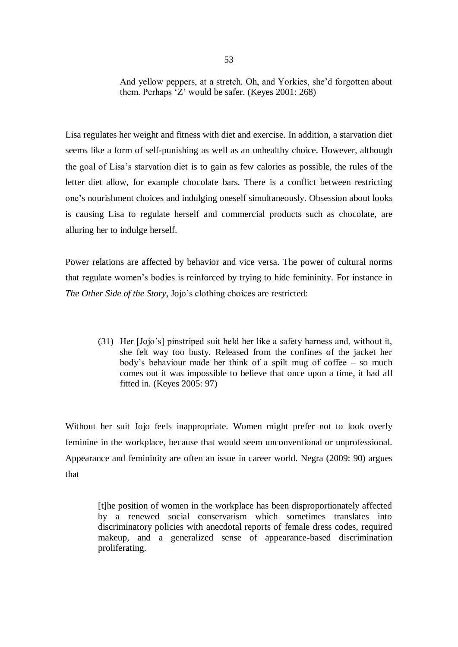And yellow peppers, at a stretch. Oh, and Yorkies, she'd forgotten about them. Perhaps 'Z' would be safer. (Keyes 2001: 268)

Lisa regulates her weight and fitness with diet and exercise. In addition, a starvation diet seems like a form of self-punishing as well as an unhealthy choice. However, although the goal of Lisa's starvation diet is to gain as few calories as possible, the rules of the letter diet allow, for example chocolate bars. There is a conflict between restricting one's nourishment choices and indulging oneself simultaneously. Obsession about looks is causing Lisa to regulate herself and commercial products such as chocolate, are alluring her to indulge herself.

Power relations are affected by behavior and vice versa. The power of cultural norms that regulate women's bodies is reinforced by trying to hide femininity. For instance in *The Other Side of the Story*, Jojo's clothing choices are restricted:

(31) Her [Jojo's] pinstriped suit held her like a safety harness and, without it, she felt way too busty. Released from the confines of the jacket her body's behaviour made her think of a spilt mug of coffee – so much comes out it was impossible to believe that once upon a time, it had all fitted in. (Keyes 2005: 97)

Without her suit Jojo feels inappropriate. Women might prefer not to look overly feminine in the workplace, because that would seem unconventional or unprofessional. Appearance and femininity are often an issue in career world. Negra (2009: 90) argues that

[t]he position of women in the workplace has been disproportionately affected by a renewed social conservatism which sometimes translates into discriminatory policies with anecdotal reports of female dress codes, required makeup, and a generalized sense of appearance-based discrimination proliferating.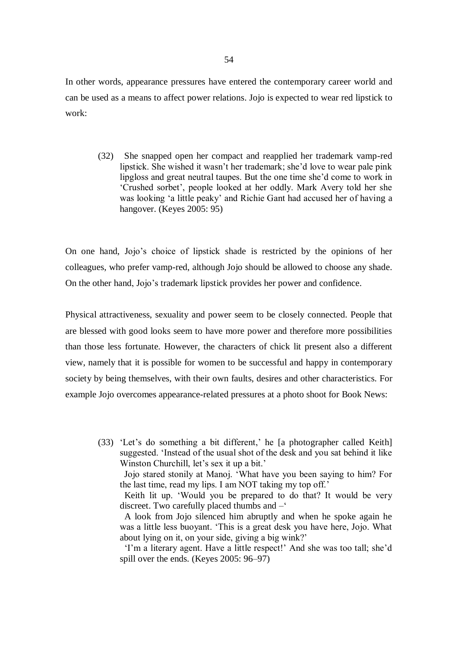In other words, appearance pressures have entered the contemporary career world and can be used as a means to affect power relations. Jojo is expected to wear red lipstick to work:

(32) She snapped open her compact and reapplied her trademark vamp-red lipstick. She wished it wasn't her trademark; she'd love to wear pale pink lipgloss and great neutral taupes. But the one time she'd come to work in 'Crushed sorbet', people looked at her oddly. Mark Avery told her she was looking 'a little peaky' and Richie Gant had accused her of having a hangover. (Keyes 2005: 95)

On one hand, Jojo's choice of lipstick shade is restricted by the opinions of her colleagues, who prefer vamp-red, although Jojo should be allowed to choose any shade. On the other hand, Jojo's trademark lipstick provides her power and confidence.

Physical attractiveness, sexuality and power seem to be closely connected. People that are blessed with good looks seem to have more power and therefore more possibilities than those less fortunate. However, the characters of chick lit present also a different view, namely that it is possible for women to be successful and happy in contemporary society by being themselves, with their own faults, desires and other characteristics. For example Jojo overcomes appearance-related pressures at a photo shoot for Book News:

(33) 'Let's do something a bit different,' he [a photographer called Keith] suggested. 'Instead of the usual shot of the desk and you sat behind it like Winston Churchill, let's sex it up a bit.'

 Jojo stared stonily at Manoj. 'What have you been saying to him? For the last time, read my lips. I am NOT taking my top off.'

 Keith lit up. 'Would you be prepared to do that? It would be very discreet. Two carefully placed thumbs and –'

 A look from Jojo silenced him abruptly and when he spoke again he was a little less buoyant. 'This is a great desk you have here, Jojo. What about lying on it, on your side, giving a big wink?'

 'I'm a literary agent. Have a little respect!' And she was too tall; she'd spill over the ends. (Keyes 2005: 96–97)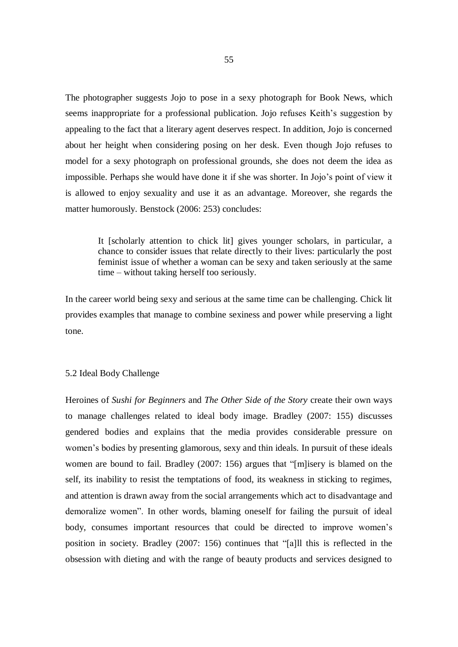The photographer suggests Jojo to pose in a sexy photograph for Book News, which seems inappropriate for a professional publication. Jojo refuses Keith's suggestion by appealing to the fact that a literary agent deserves respect. In addition, Jojo is concerned about her height when considering posing on her desk. Even though Jojo refuses to model for a sexy photograph on professional grounds, she does not deem the idea as impossible. Perhaps she would have done it if she was shorter. In Jojo's point of view it is allowed to enjoy sexuality and use it as an advantage. Moreover, she regards the matter humorously. Benstock (2006: 253) concludes:

It [scholarly attention to chick lit] gives younger scholars, in particular, a chance to consider issues that relate directly to their lives: particularly the post feminist issue of whether a woman can be sexy and taken seriously at the same time – without taking herself too seriously.

In the career world being sexy and serious at the same time can be challenging. Chick lit provides examples that manage to combine sexiness and power while preserving a light tone.

## 5.2 Ideal Body Challenge

Heroines of *Sushi for Beginners* and *The Other Side of the Story* create their own ways to manage challenges related to ideal body image. Bradley (2007: 155) discusses gendered bodies and explains that the media provides considerable pressure on women's bodies by presenting glamorous, sexy and thin ideals. In pursuit of these ideals women are bound to fail. Bradley (2007: 156) argues that "[m]isery is blamed on the self, its inability to resist the temptations of food, its weakness in sticking to regimes, and attention is drawn away from the social arrangements which act to disadvantage and demoralize women". In other words, blaming oneself for failing the pursuit of ideal body, consumes important resources that could be directed to improve women's position in society. Bradley (2007: 156) continues that "[a]ll this is reflected in the obsession with dieting and with the range of beauty products and services designed to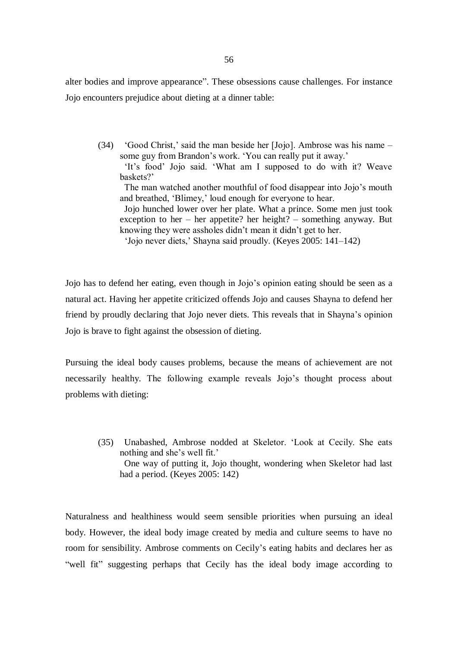alter bodies and improve appearance". These obsessions cause challenges. For instance Jojo encounters prejudice about dieting at a dinner table:

(34) 'Good Christ,' said the man beside her [Jojo]. Ambrose was his name – some guy from Brandon's work. 'You can really put it away.' 'It's food' Jojo said. 'What am I supposed to do with it? Weave

baskets?'

 The man watched another mouthful of food disappear into Jojo's mouth and breathed, 'Blimey,' loud enough for everyone to hear.

 Jojo hunched lower over her plate. What a prince. Some men just took exception to her – her appetite? her height? – something anyway. But knowing they were assholes didn't mean it didn't get to her.

'Jojo never diets,' Shayna said proudly. (Keyes 2005: 141–142)

Jojo has to defend her eating, even though in Jojo's opinion eating should be seen as a natural act. Having her appetite criticized offends Jojo and causes Shayna to defend her friend by proudly declaring that Jojo never diets. This reveals that in Shayna's opinion Jojo is brave to fight against the obsession of dieting.

Pursuing the ideal body causes problems, because the means of achievement are not necessarily healthy. The following example reveals Jojo's thought process about problems with dieting:

(35) Unabashed, Ambrose nodded at Skeletor. 'Look at Cecily. She eats nothing and she's well fit.' One way of putting it, Jojo thought, wondering when Skeletor had last had a period. (Keyes 2005: 142)

Naturalness and healthiness would seem sensible priorities when pursuing an ideal body. However, the ideal body image created by media and culture seems to have no room for sensibility. Ambrose comments on Cecily's eating habits and declares her as "well fit" suggesting perhaps that Cecily has the ideal body image according to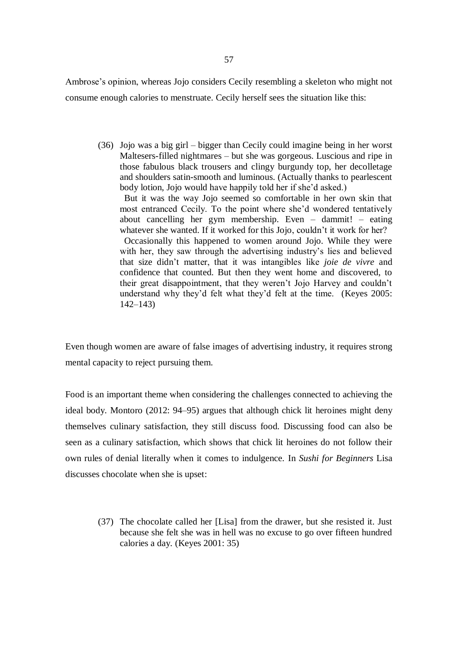Ambrose's opinion, whereas Jojo considers Cecily resembling a skeleton who might not consume enough calories to menstruate. Cecily herself sees the situation like this:

(36) Jojo was a big girl – bigger than Cecily could imagine being in her worst Maltesers-filled nightmares – but she was gorgeous. Luscious and ripe in those fabulous black trousers and clingy burgundy top, her decolletage and shoulders satin-smooth and luminous. (Actually thanks to pearlescent body lotion, Jojo would have happily told her if she'd asked.)

 But it was the way Jojo seemed so comfortable in her own skin that most entranced Cecily. To the point where she'd wondered tentatively about cancelling her gym membership. Even – dammit! – eating whatever she wanted. If it worked for this Jojo, couldn't it work for her?

 Occasionally this happened to women around Jojo. While they were with her, they saw through the advertising industry's lies and believed that size didn't matter, that it was intangibles like *joie de vivre* and confidence that counted. But then they went home and discovered, to their great disappointment, that they weren't Jojo Harvey and couldn't understand why they'd felt what they'd felt at the time. (Keyes 2005: 142–143)

Even though women are aware of false images of advertising industry, it requires strong mental capacity to reject pursuing them.

Food is an important theme when considering the challenges connected to achieving the ideal body. Montoro (2012: 94–95) argues that although chick lit heroines might deny themselves culinary satisfaction, they still discuss food. Discussing food can also be seen as a culinary satisfaction, which shows that chick lit heroines do not follow their own rules of denial literally when it comes to indulgence. In *Sushi for Beginners* Lisa discusses chocolate when she is upset:

(37) The chocolate called her [Lisa] from the drawer, but she resisted it. Just because she felt she was in hell was no excuse to go over fifteen hundred calories a day. (Keyes 2001: 35)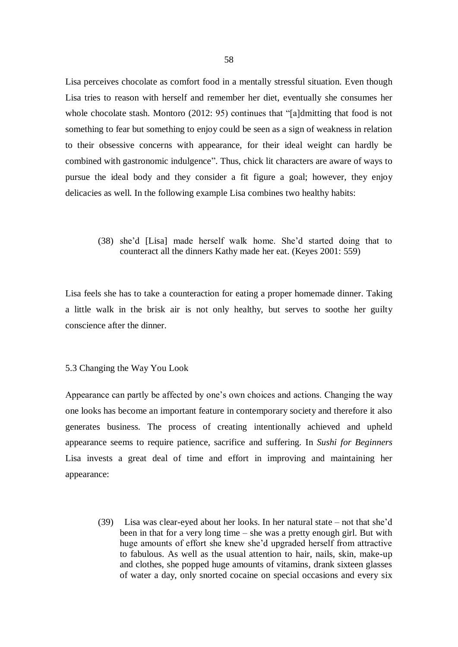Lisa perceives chocolate as comfort food in a mentally stressful situation. Even though Lisa tries to reason with herself and remember her diet, eventually she consumes her whole chocolate stash. Montoro (2012: 95) continues that "[a]dmitting that food is not something to fear but something to enjoy could be seen as a sign of weakness in relation to their obsessive concerns with appearance, for their ideal weight can hardly be combined with gastronomic indulgence". Thus, chick lit characters are aware of ways to pursue the ideal body and they consider a fit figure a goal; however, they enjoy delicacies as well. In the following example Lisa combines two healthy habits:

(38) she'd [Lisa] made herself walk home. She'd started doing that to counteract all the dinners Kathy made her eat. (Keyes 2001: 559)

Lisa feels she has to take a counteraction for eating a proper homemade dinner. Taking a little walk in the brisk air is not only healthy, but serves to soothe her guilty conscience after the dinner.

### 5.3 Changing the Way You Look

Appearance can partly be affected by one's own choices and actions. Changing the way one looks has become an important feature in contemporary society and therefore it also generates business. The process of creating intentionally achieved and upheld appearance seems to require patience, sacrifice and suffering. In *Sushi for Beginners* Lisa invests a great deal of time and effort in improving and maintaining her appearance:

(39) Lisa was clear-eyed about her looks. In her natural state – not that she'd been in that for a very long time – she was a pretty enough girl. But with huge amounts of effort she knew she'd upgraded herself from attractive to fabulous. As well as the usual attention to hair, nails, skin, make-up and clothes, she popped huge amounts of vitamins, drank sixteen glasses of water a day, only snorted cocaine on special occasions and every six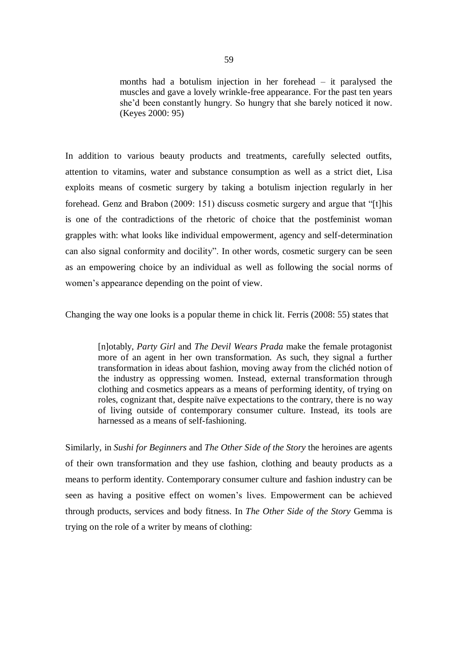months had a botulism injection in her forehead – it paralysed the muscles and gave a lovely wrinkle-free appearance. For the past ten years she'd been constantly hungry. So hungry that she barely noticed it now. (Keyes 2000: 95)

In addition to various beauty products and treatments, carefully selected outfits, attention to vitamins, water and substance consumption as well as a strict diet, Lisa exploits means of cosmetic surgery by taking a botulism injection regularly in her forehead. Genz and Brabon (2009: 151) discuss cosmetic surgery and argue that "[t]his is one of the contradictions of the rhetoric of choice that the postfeminist woman grapples with: what looks like individual empowerment, agency and self-determination can also signal conformity and docility". In other words, cosmetic surgery can be seen as an empowering choice by an individual as well as following the social norms of women's appearance depending on the point of view.

Changing the way one looks is a popular theme in chick lit. Ferris (2008: 55) states that

[n]otably, *Party Girl* and *The Devil Wears Prada* make the female protagonist more of an agent in her own transformation. As such, they signal a further transformation in ideas about fashion, moving away from the clichéd notion of the industry as oppressing women. Instead, external transformation through clothing and cosmetics appears as a means of performing identity, of trying on roles, cognizant that, despite naïve expectations to the contrary, there is no way of living outside of contemporary consumer culture. Instead, its tools are harnessed as a means of self-fashioning.

Similarly, in *Sushi for Beginners* and *The Other Side of the Story* the heroines are agents of their own transformation and they use fashion, clothing and beauty products as a means to perform identity. Contemporary consumer culture and fashion industry can be seen as having a positive effect on women's lives. Empowerment can be achieved through products, services and body fitness. In *The Other Side of the Story* Gemma is trying on the role of a writer by means of clothing: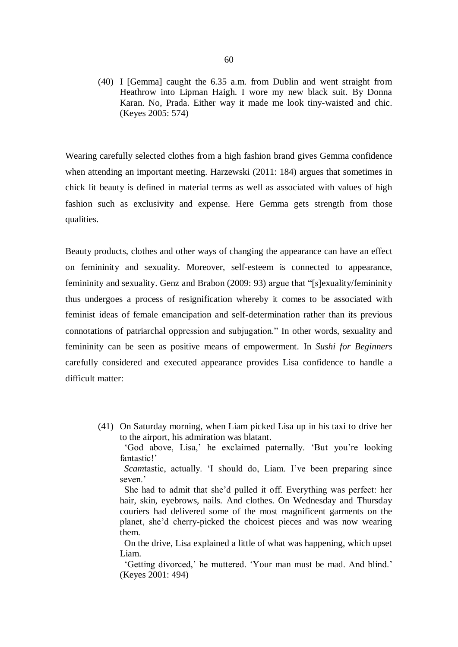(40) I [Gemma] caught the 6.35 a.m. from Dublin and went straight from Heathrow into Lipman Haigh. I wore my new black suit. By Donna Karan. No, Prada. Either way it made me look tiny-waisted and chic. (Keyes 2005: 574)

Wearing carefully selected clothes from a high fashion brand gives Gemma confidence when attending an important meeting. Harzewski (2011: 184) argues that sometimes in chick lit beauty is defined in material terms as well as associated with values of high fashion such as exclusivity and expense. Here Gemma gets strength from those qualities.

Beauty products, clothes and other ways of changing the appearance can have an effect on femininity and sexuality. Moreover, self-esteem is connected to appearance, femininity and sexuality. Genz and Brabon (2009: 93) argue that "[s]exuality/femininity thus undergoes a process of resignification whereby it comes to be associated with feminist ideas of female emancipation and self-determination rather than its previous connotations of patriarchal oppression and subjugation." In other words, sexuality and femininity can be seen as positive means of empowerment. In *Sushi for Beginners*  carefully considered and executed appearance provides Lisa confidence to handle a difficult matter:

(41) On Saturday morning, when Liam picked Lisa up in his taxi to drive her to the airport, his admiration was blatant.

 'God above, Lisa,' he exclaimed paternally. 'But you're looking fantastic!'

 *Scam*tastic, actually. 'I should do, Liam. I've been preparing since seven<sup>'</sup>

 She had to admit that she'd pulled it off. Everything was perfect: her hair, skin, eyebrows, nails. And clothes. On Wednesday and Thursday couriers had delivered some of the most magnificent garments on the planet, she'd cherry-picked the choicest pieces and was now wearing them.

 On the drive, Lisa explained a little of what was happening, which upset Liam.

 'Getting divorced,' he muttered. 'Your man must be mad. And blind.' (Keyes 2001: 494)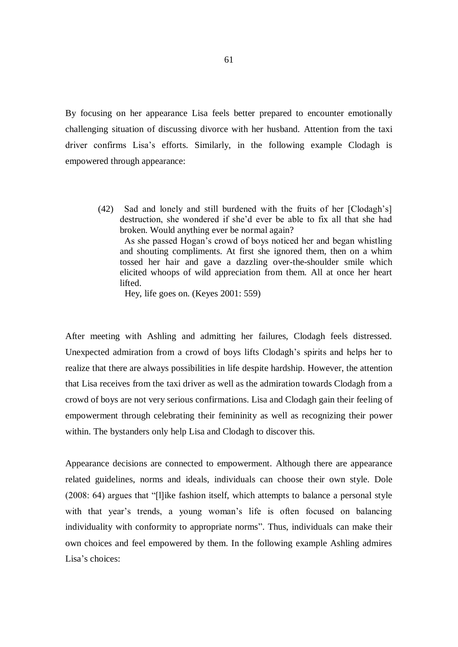By focusing on her appearance Lisa feels better prepared to encounter emotionally challenging situation of discussing divorce with her husband. Attention from the taxi driver confirms Lisa's efforts. Similarly, in the following example Clodagh is empowered through appearance:

(42) Sad and lonely and still burdened with the fruits of her [Clodagh's] destruction, she wondered if she'd ever be able to fix all that she had broken. Would anything ever be normal again? As she passed Hogan's crowd of boys noticed her and began whistling and shouting compliments. At first she ignored them, then on a whim tossed her hair and gave a dazzling over-the-shoulder smile which elicited whoops of wild appreciation from them. All at once her heart lifted.

Hey, life goes on. (Keyes 2001: 559)

After meeting with Ashling and admitting her failures, Clodagh feels distressed. Unexpected admiration from a crowd of boys lifts Clodagh's spirits and helps her to realize that there are always possibilities in life despite hardship. However, the attention that Lisa receives from the taxi driver as well as the admiration towards Clodagh from a crowd of boys are not very serious confirmations. Lisa and Clodagh gain their feeling of empowerment through celebrating their femininity as well as recognizing their power within. The bystanders only help Lisa and Clodagh to discover this.

Appearance decisions are connected to empowerment. Although there are appearance related guidelines, norms and ideals, individuals can choose their own style. Dole (2008: 64) argues that "[l]ike fashion itself, which attempts to balance a personal style with that year's trends, a young woman's life is often focused on balancing individuality with conformity to appropriate norms". Thus, individuals can make their own choices and feel empowered by them. In the following example Ashling admires Lisa's choices: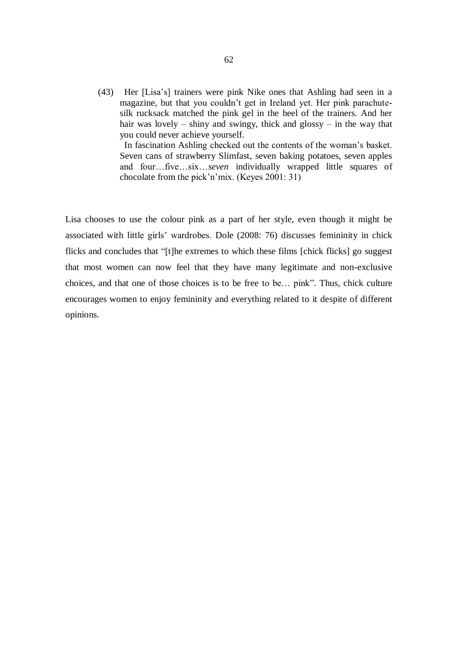(43) Her [Lisa's] trainers were pink Nike ones that Ashling had seen in a magazine, but that you couldn't get in Ireland yet. Her pink parachutesilk rucksack matched the pink gel in the heel of the trainers. And her hair was lovely – shiny and swingy, thick and glossy – in the way that you could never achieve yourself.

 In fascination Ashling checked out the contents of the woman's basket. Seven cans of strawberry Slimfast, seven baking potatoes, seven apples and four…five…six…*seven* individually wrapped little squares of chocolate from the pick'n'mix. (Keyes 2001: 31)

Lisa chooses to use the colour pink as a part of her style, even though it might be associated with little girls' wardrobes. Dole (2008: 76) discusses femininity in chick flicks and concludes that "[t]he extremes to which these films [chick flicks] go suggest that most women can now feel that they have many legitimate and non-exclusive choices, and that one of those choices is to be free to be… pink". Thus, chick culture encourages women to enjoy femininity and everything related to it despite of different opinions.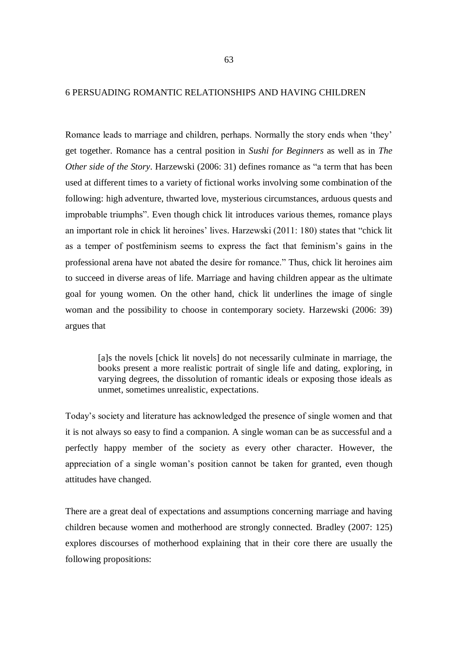## 6 PERSUADING ROMANTIC RELATIONSHIPS AND HAVING CHILDREN

Romance leads to marriage and children, perhaps. Normally the story ends when 'they' get together. Romance has a central position in *Sushi for Beginners* as well as in *The Other side of the Story*. Harzewski (2006: 31) defines romance as "a term that has been used at different times to a variety of fictional works involving some combination of the following: high adventure, thwarted love, mysterious circumstances, arduous quests and improbable triumphs". Even though chick lit introduces various themes, romance plays an important role in chick lit heroines' lives. Harzewski (2011: 180) states that "chick lit as a temper of postfeminism seems to express the fact that feminism's gains in the professional arena have not abated the desire for romance." Thus, chick lit heroines aim to succeed in diverse areas of life. Marriage and having children appear as the ultimate goal for young women. On the other hand, chick lit underlines the image of single woman and the possibility to choose in contemporary society. Harzewski (2006: 39) argues that

[a]s the novels [chick lit novels] do not necessarily culminate in marriage, the books present a more realistic portrait of single life and dating, exploring, in varying degrees, the dissolution of romantic ideals or exposing those ideals as unmet, sometimes unrealistic, expectations.

Today's society and literature has acknowledged the presence of single women and that it is not always so easy to find a companion. A single woman can be as successful and a perfectly happy member of the society as every other character. However, the appreciation of a single woman's position cannot be taken for granted, even though attitudes have changed.

There are a great deal of expectations and assumptions concerning marriage and having children because women and motherhood are strongly connected. Bradley (2007: 125) explores discourses of motherhood explaining that in their core there are usually the following propositions: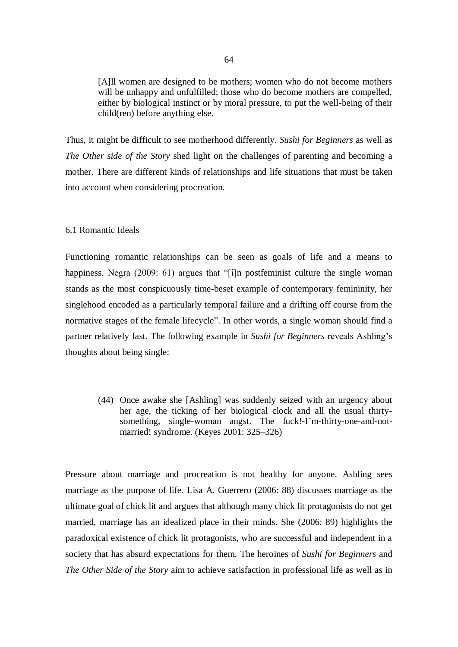[A]ll women are designed to be mothers; women who do not become mothers will be unhappy and unfulfilled; those who do become mothers are compelled, either by biological instinct or by moral pressure, to put the well-being of their child(ren) before anything else.

Thus, it might be difficult to see motherhood differently. *Sushi for Beginners* as well as *The Other side of the Story* shed light on the challenges of parenting and becoming a mother. There are different kinds of relationships and life situations that must be taken into account when considering procreation.

### 6.1 Romantic Ideals

Functioning romantic relationships can be seen as goals of life and a means to happiness. Negra (2009: 61) argues that "[i]n postfeminist culture the single woman stands as the most conspicuously time-beset example of contemporary femininity, her singlehood encoded as a particularly temporal failure and a drifting off course from the normative stages of the female lifecycle". In other words, a single woman should find a partner relatively fast. The following example in *Sushi for Beginners* reveals Ashling's thoughts about being single:

(44) Once awake she [Ashling] was suddenly seized with an urgency about her age, the ticking of her biological clock and all the usual thirtysomething, single-woman angst. The fuck!-I'm-thirty-one-and-notmarried! syndrome. (Keyes 2001: 325–326)

Pressure about marriage and procreation is not healthy for anyone. Ashling sees marriage as the purpose of life. Lisa A. Guerrero (2006: 88) discusses marriage as the ultimate goal of chick lit and argues that although many chick lit protagonists do not get married, marriage has an idealized place in their minds. She (2006: 89) highlights the paradoxical existence of chick lit protagonists, who are successful and independent in a society that has absurd expectations for them. The heroines of *Sushi for Beginners* and *The Other Side of the Story* aim to achieve satisfaction in professional life as well as in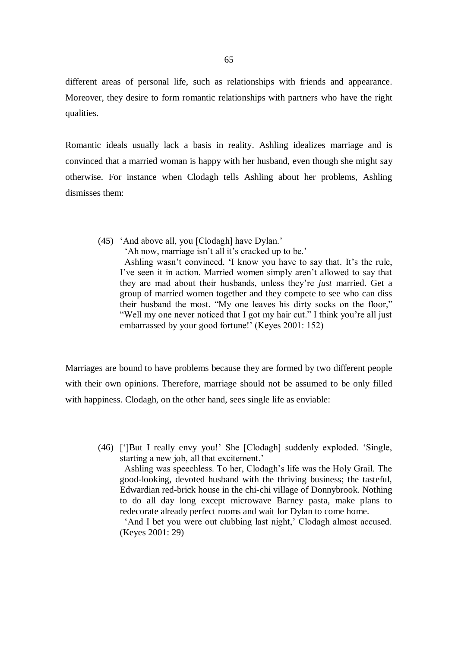different areas of personal life, such as relationships with friends and appearance. Moreover, they desire to form romantic relationships with partners who have the right qualities.

Romantic ideals usually lack a basis in reality. Ashling idealizes marriage and is convinced that a married woman is happy with her husband, even though she might say otherwise. For instance when Clodagh tells Ashling about her problems, Ashling dismisses them:

(45) 'And above all, you [Clodagh] have Dylan.'

'Ah now, marriage isn't all it's cracked up to be.'

 Ashling wasn't convinced. 'I know you have to say that. It's the rule, I've seen it in action. Married women simply aren't allowed to say that they are mad about their husbands, unless they're *just* married. Get a group of married women together and they compete to see who can diss their husband the most. "My one leaves his dirty socks on the floor," "Well my one never noticed that I got my hair cut." I think you're all just embarrassed by your good fortune!' (Keyes 2001: 152)

Marriages are bound to have problems because they are formed by two different people with their own opinions. Therefore, marriage should not be assumed to be only filled with happiness. Clodagh, on the other hand, sees single life as enviable:

(46) [']But I really envy you!' She [Clodagh] suddenly exploded. 'Single, starting a new job, all that excitement.'

 Ashling was speechless. To her, Clodagh's life was the Holy Grail. The good-looking, devoted husband with the thriving business; the tasteful, Edwardian red-brick house in the chi-chi village of Donnybrook. Nothing to do all day long except microwave Barney pasta, make plans to redecorate already perfect rooms and wait for Dylan to come home.

 'And I bet you were out clubbing last night,' Clodagh almost accused. (Keyes 2001: 29)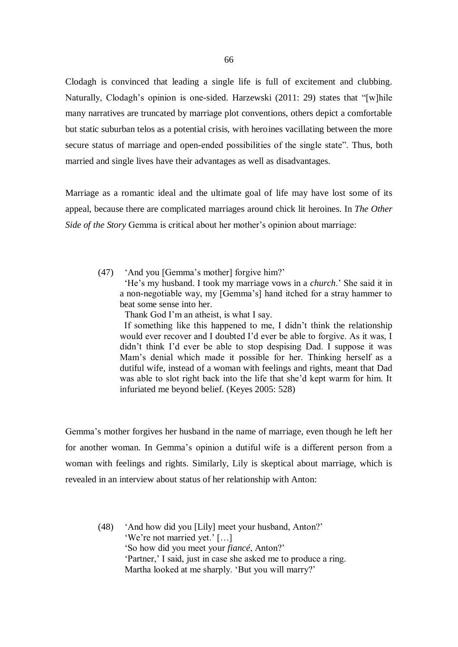Clodagh is convinced that leading a single life is full of excitement and clubbing. Naturally, Clodagh's opinion is one-sided. Harzewski (2011: 29) states that "[w]hile many narratives are truncated by marriage plot conventions, others depict a comfortable but static suburban telos as a potential crisis, with heroines vacillating between the more secure status of marriage and open-ended possibilities of the single state". Thus, both married and single lives have their advantages as well as disadvantages.

Marriage as a romantic ideal and the ultimate goal of life may have lost some of its appeal, because there are complicated marriages around chick lit heroines. In *The Other Side of the Story* Gemma is critical about her mother's opinion about marriage:

(47) 'And you [Gemma's mother] forgive him?' 'He's my husband. I took my marriage vows in a *church*.' She said it in a non-negotiable way, my [Gemma's] hand itched for a stray hammer to beat some sense into her.

Thank God I'm an atheist, is what I say.

 If something like this happened to me, I didn't think the relationship would ever recover and I doubted I'd ever be able to forgive. As it was, I didn't think I'd ever be able to stop despising Dad. I suppose it was Mam's denial which made it possible for her. Thinking herself as a dutiful wife, instead of a woman with feelings and rights, meant that Dad was able to slot right back into the life that she'd kept warm for him. It infuriated me beyond belief. (Keyes 2005: 528)

Gemma's mother forgives her husband in the name of marriage, even though he left her for another woman. In Gemma's opinion a dutiful wife is a different person from a woman with feelings and rights. Similarly, Lily is skeptical about marriage, which is revealed in an interview about status of her relationship with Anton:

(48) 'And how did you [Lily] meet your husband, Anton?' 'We're not married yet.' […] 'So how did you meet your *fiancé*, Anton?' 'Partner,' I said, just in case she asked me to produce a ring. Martha looked at me sharply. 'But you will marry?'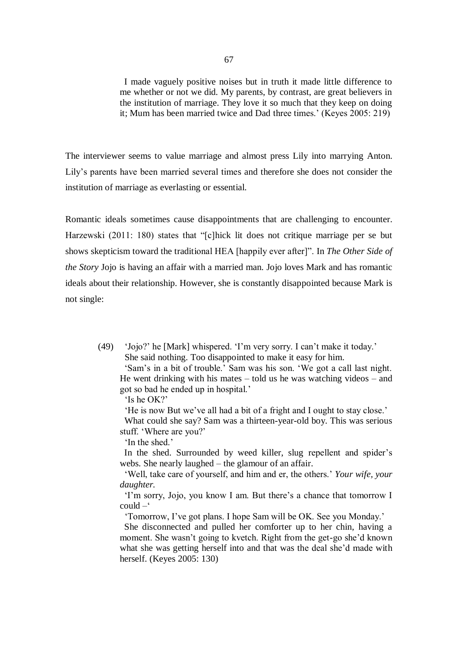I made vaguely positive noises but in truth it made little difference to me whether or not we did. My parents, by contrast, are great believers in the institution of marriage. They love it so much that they keep on doing it; Mum has been married twice and Dad three times.' (Keyes 2005: 219)

The interviewer seems to value marriage and almost press Lily into marrying Anton. Lily's parents have been married several times and therefore she does not consider the institution of marriage as everlasting or essential.

Romantic ideals sometimes cause disappointments that are challenging to encounter. Harzewski (2011: 180) states that "[c]hick lit does not critique marriage per se but shows skepticism toward the traditional HEA [happily ever after]". In *The Other Side of the Story* Jojo is having an affair with a married man. Jojo loves Mark and has romantic ideals about their relationship. However, she is constantly disappointed because Mark is not single:

(49) 'Jojo?' he [Mark] whispered. 'I'm very sorry. I can't make it today.' She said nothing. Too disappointed to make it easy for him.

 'Sam's in a bit of trouble.' Sam was his son. 'We got a call last night. He went drinking with his mates  $-$  told us he was watching videos  $-$  and got so bad he ended up in hospital.'

'Is he OK?'

'He is now But we've all had a bit of a fright and I ought to stay close.'

 What could she say? Sam was a thirteen-year-old boy. This was serious stuff. 'Where are you?'

'In the shed.'

 In the shed. Surrounded by weed killer, slug repellent and spider's webs. She nearly laughed – the glamour of an affair.

 'Well, take care of yourself, and him and er, the others.' *Your wife, your daughter.*

 'I'm sorry, Jojo, you know I am. But there's a chance that tomorrow I  $\text{could} -$ 

'Tomorrow, I've got plans. I hope Sam will be OK. See you Monday.'

 She disconnected and pulled her comforter up to her chin, having a moment. She wasn't going to kvetch. Right from the get-go she'd known what she was getting herself into and that was the deal she'd made with herself. (Keyes 2005: 130)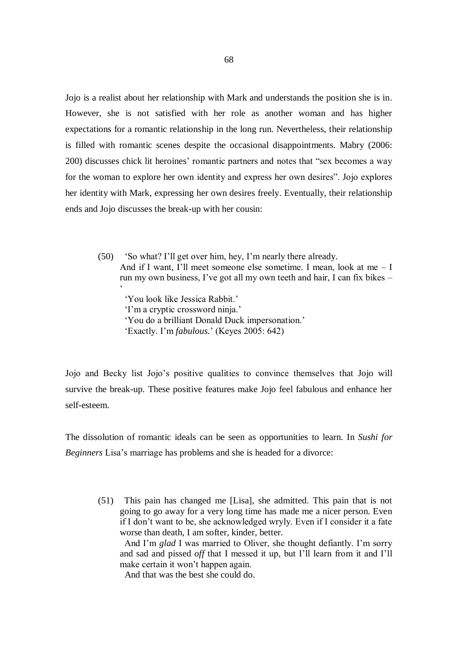Jojo is a realist about her relationship with Mark and understands the position she is in. However, she is not satisfied with her role as another woman and has higher expectations for a romantic relationship in the long run. Nevertheless, their relationship is filled with romantic scenes despite the occasional disappointments. Mabry (2006: 200) discusses chick lit heroines' romantic partners and notes that "sex becomes a way for the woman to explore her own identity and express her own desires". Jojo explores her identity with Mark, expressing her own desires freely. Eventually, their relationship ends and Jojo discusses the break-up with her cousin:

(50) 'So what? I'll get over him, hey, I'm nearly there already. And if I want, I'll meet someone else sometime. I mean, look at me – I run my own business, I've got all my own teeth and hair, I can fix bikes –  $\zeta$ 'You look like Jessica Rabbit.'

 'I'm a cryptic crossword ninja.' 'You do a brilliant Donald Duck impersonation.' 'Exactly. I'm *fabulous.*' (Keyes 2005: 642)

Jojo and Becky list Jojo's positive qualities to convince themselves that Jojo will survive the break-up. These positive features make Jojo feel fabulous and enhance her self-esteem.

The dissolution of romantic ideals can be seen as opportunities to learn. In *Sushi for Beginners* Lisa's marriage has problems and she is headed for a divorce:

(51) This pain has changed me [Lisa], she admitted. This pain that is not going to go away for a very long time has made me a nicer person. Even if I don't want to be, she acknowledged wryly. Even if I consider it a fate worse than death, I am softer, kinder, better.

 And I'm *glad* I was married to Oliver, she thought defiantly. I'm sorry and sad and pissed *off* that I messed it up, but I'll learn from it and I'll make certain it won't happen again.

And that was the best she could do.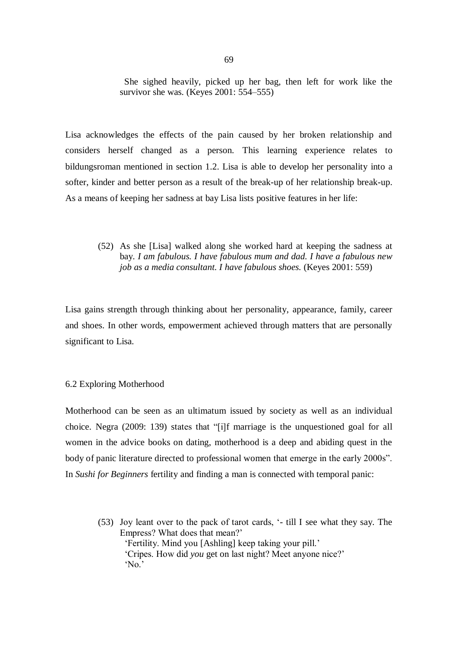She sighed heavily, picked up her bag, then left for work like the survivor she was. (Keyes 2001: 554–555)

Lisa acknowledges the effects of the pain caused by her broken relationship and considers herself changed as a person. This learning experience relates to bildungsroman mentioned in section 1.2. Lisa is able to develop her personality into a softer, kinder and better person as a result of the break-up of her relationship break-up. As a means of keeping her sadness at bay Lisa lists positive features in her life:

(52) As she [Lisa] walked along she worked hard at keeping the sadness at bay*. I am fabulous. I have fabulous mum and dad. I have a fabulous new job as a media consultant. I have fabulous shoes.* (Keyes 2001: 559)

Lisa gains strength through thinking about her personality, appearance, family, career and shoes. In other words, empowerment achieved through matters that are personally significant to Lisa.

### 6.2 Exploring Motherhood

Motherhood can be seen as an ultimatum issued by society as well as an individual choice. Negra (2009: 139) states that "[i]f marriage is the unquestioned goal for all women in the advice books on dating, motherhood is a deep and abiding quest in the body of panic literature directed to professional women that emerge in the early 2000s". In *Sushi for Beginners* fertility and finding a man is connected with temporal panic:

(53) Joy leant over to the pack of tarot cards, '- till I see what they say. The Empress? What does that mean?' 'Fertility. Mind you [Ashling] keep taking your pill.' 'Cripes. How did *you* get on last night? Meet anyone nice?' 'No.'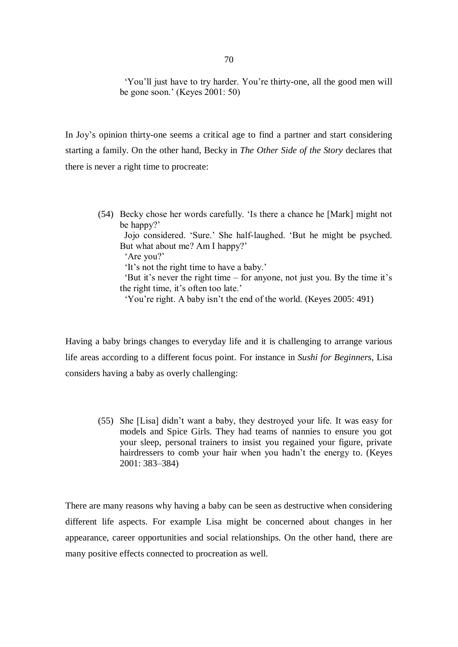'You'll just have to try harder. You're thirty-one, all the good men will be gone soon.' (Keyes 2001: 50)

In Joy's opinion thirty-one seems a critical age to find a partner and start considering starting a family. On the other hand, Becky in *The Other Side of the Story* declares that there is never a right time to procreate:

(54) Becky chose her words carefully. 'Is there a chance he [Mark] might not be happy?' Jojo considered. 'Sure.' She half-laughed. 'But he might be psyched. But what about me? Am I happy?' 'Are you?' 'It's not the right time to have a baby.' 'But it's never the right time – for anyone, not just you. By the time it's the right time, it's often too late.' 'You're right. A baby isn't the end of the world. (Keyes 2005: 491)

Having a baby brings changes to everyday life and it is challenging to arrange various life areas according to a different focus point. For instance in *Sushi for Beginners*, Lisa considers having a baby as overly challenging:

(55) She [Lisa] didn't want a baby, they destroyed your life. It was easy for models and Spice Girls. They had teams of nannies to ensure you got your sleep, personal trainers to insist you regained your figure, private hairdressers to comb your hair when you hadn't the energy to. (Keyes 2001: 383–384)

There are many reasons why having a baby can be seen as destructive when considering different life aspects. For example Lisa might be concerned about changes in her appearance, career opportunities and social relationships. On the other hand, there are many positive effects connected to procreation as well.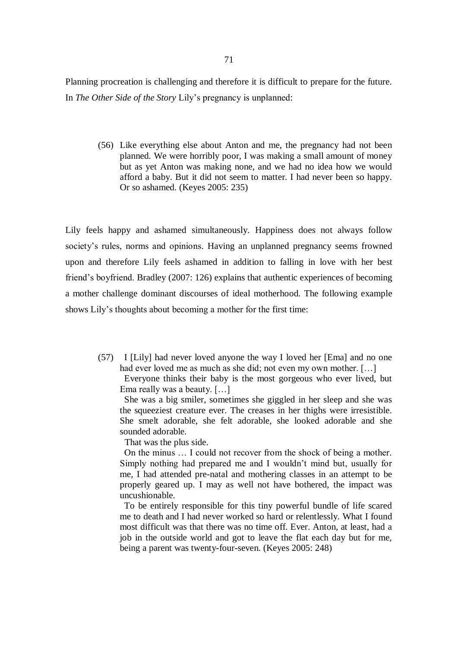Planning procreation is challenging and therefore it is difficult to prepare for the future. In *The Other Side of the Story* Lily's pregnancy is unplanned:

(56) Like everything else about Anton and me, the pregnancy had not been planned. We were horribly poor, I was making a small amount of money but as yet Anton was making none, and we had no idea how we would afford a baby. But it did not seem to matter. I had never been so happy. Or so ashamed. (Keyes 2005: 235)

Lily feels happy and ashamed simultaneously. Happiness does not always follow society's rules, norms and opinions. Having an unplanned pregnancy seems frowned upon and therefore Lily feels ashamed in addition to falling in love with her best friend's boyfriend. Bradley (2007: 126) explains that authentic experiences of becoming a mother challenge dominant discourses of ideal motherhood. The following example shows Lily's thoughts about becoming a mother for the first time:

(57) I [Lily] had never loved anyone the way I loved her [Ema] and no one had ever loved me as much as she did; not even my own mother. [...] Everyone thinks their baby is the most gorgeous who ever lived, but Ema really was a beauty. […]

 She was a big smiler, sometimes she giggled in her sleep and she was the squeeziest creature ever. The creases in her thighs were irresistible. She smelt adorable, she felt adorable, she looked adorable and she sounded adorable.

That was the plus side.

 On the minus … I could not recover from the shock of being a mother. Simply nothing had prepared me and I wouldn't mind but, usually for me, I had attended pre-natal and mothering classes in an attempt to be properly geared up. I may as well not have bothered, the impact was uncushionable.

 To be entirely responsible for this tiny powerful bundle of life scared me to death and I had never worked so hard or relentlessly. What I found most difficult was that there was no time off. Ever. Anton, at least, had a job in the outside world and got to leave the flat each day but for me, being a parent was twenty-four-seven. (Keyes 2005: 248)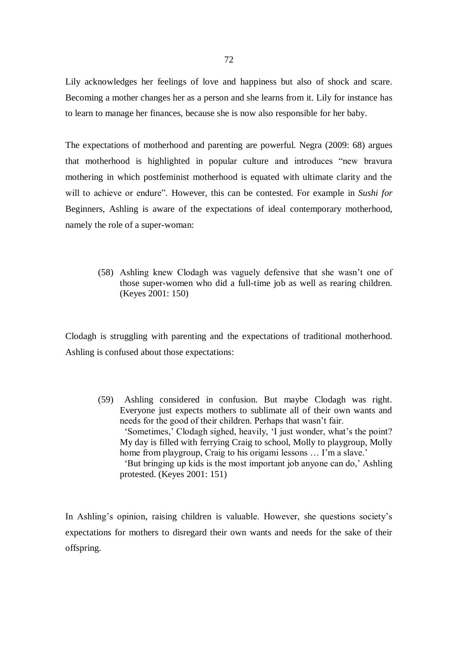Lily acknowledges her feelings of love and happiness but also of shock and scare. Becoming a mother changes her as a person and she learns from it. Lily for instance has to learn to manage her finances, because she is now also responsible for her baby.

The expectations of motherhood and parenting are powerful. Negra (2009: 68) argues that motherhood is highlighted in popular culture and introduces "new bravura mothering in which postfeminist motherhood is equated with ultimate clarity and the will to achieve or endure". However, this can be contested. For example in *Sushi for*  Beginners, Ashling is aware of the expectations of ideal contemporary motherhood, namely the role of a super-woman:

(58) Ashling knew Clodagh was vaguely defensive that she wasn't one of those super-women who did a full-time job as well as rearing children. (Keyes 2001: 150)

Clodagh is struggling with parenting and the expectations of traditional motherhood. Ashling is confused about those expectations:

(59) Ashling considered in confusion. But maybe Clodagh was right. Everyone just expects mothers to sublimate all of their own wants and needs for the good of their children. Perhaps that wasn't fair. 'Sometimes,' Clodagh sighed, heavily, 'I just wonder, what's the point? My day is filled with ferrying Craig to school, Molly to playgroup, Molly home from playgroup, Craig to his origami lessons ... I'm a slave.' 'But bringing up kids is the most important job anyone can do,' Ashling protested. (Keyes 2001: 151)

In Ashling's opinion, raising children is valuable. However, she questions society's expectations for mothers to disregard their own wants and needs for the sake of their offspring.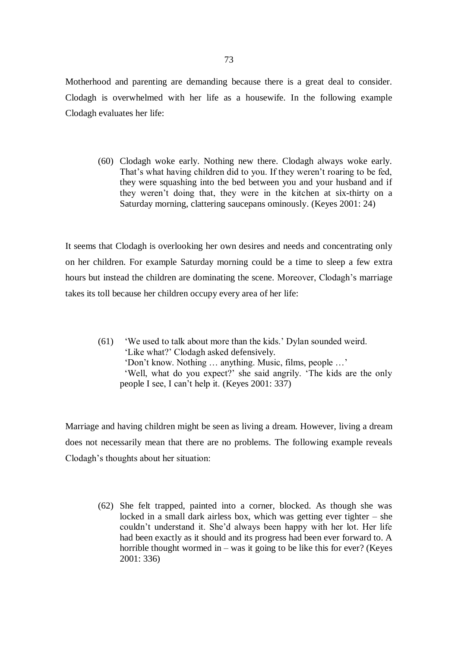Motherhood and parenting are demanding because there is a great deal to consider. Clodagh is overwhelmed with her life as a housewife. In the following example Clodagh evaluates her life:

(60) Clodagh woke early. Nothing new there. Clodagh always woke early. That's what having children did to you. If they weren't roaring to be fed, they were squashing into the bed between you and your husband and if they weren't doing that, they were in the kitchen at six-thirty on a Saturday morning, clattering saucepans ominously. (Keyes 2001: 24)

It seems that Clodagh is overlooking her own desires and needs and concentrating only on her children. For example Saturday morning could be a time to sleep a few extra hours but instead the children are dominating the scene. Moreover, Clodagh's marriage takes its toll because her children occupy every area of her life:

(61) 'We used to talk about more than the kids.' Dylan sounded weird. 'Like what?' Clodagh asked defensively. 'Don't know. Nothing … anything. Music, films, people …' 'Well, what do you expect?' she said angrily. 'The kids are the only people I see, I can't help it. (Keyes 2001: 337)

Marriage and having children might be seen as living a dream. However, living a dream does not necessarily mean that there are no problems. The following example reveals Clodagh's thoughts about her situation:

(62) She felt trapped, painted into a corner, blocked. As though she was locked in a small dark airless box, which was getting ever tighter – she couldn't understand it. She'd always been happy with her lot. Her life had been exactly as it should and its progress had been ever forward to. A horrible thought wormed in – was it going to be like this for ever? (Keyes 2001: 336)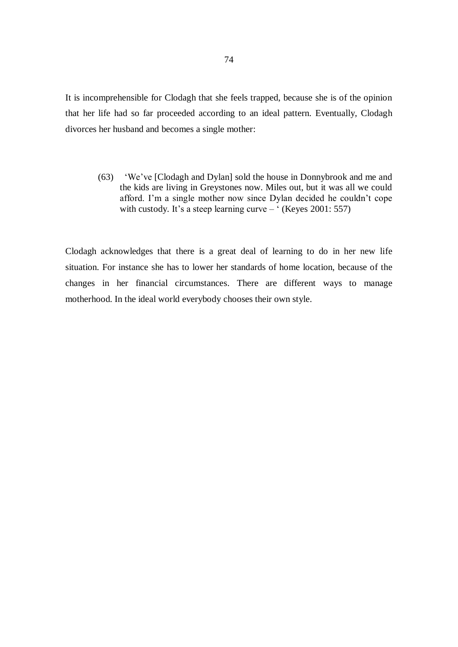It is incomprehensible for Clodagh that she feels trapped, because she is of the opinion that her life had so far proceeded according to an ideal pattern. Eventually, Clodagh divorces her husband and becomes a single mother:

(63) 'We've [Clodagh and Dylan] sold the house in Donnybrook and me and the kids are living in Greystones now. Miles out, but it was all we could afford. I'm a single mother now since Dylan decided he couldn't cope with custody. It's a steep learning curve –  $($ Keyes 2001: 557)

Clodagh acknowledges that there is a great deal of learning to do in her new life situation. For instance she has to lower her standards of home location, because of the changes in her financial circumstances. There are different ways to manage motherhood. In the ideal world everybody chooses their own style.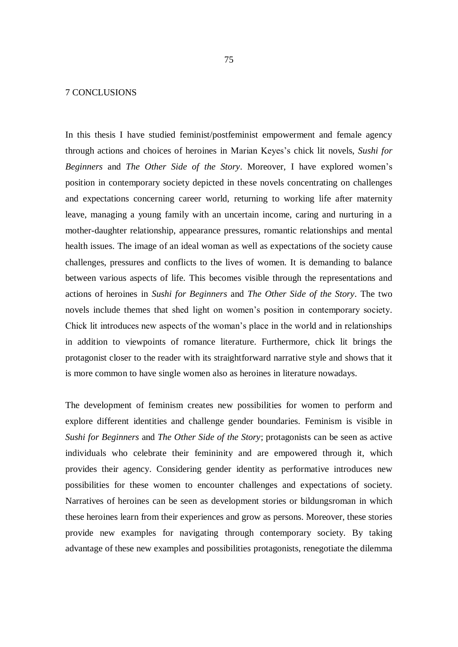## 7 CONCLUSIONS

In this thesis I have studied feminist/postfeminist empowerment and female agency through actions and choices of heroines in Marian Keyes's chick lit novels, *Sushi for Beginners* and *The Other Side of the Story*. Moreover, I have explored women's position in contemporary society depicted in these novels concentrating on challenges and expectations concerning career world, returning to working life after maternity leave, managing a young family with an uncertain income, caring and nurturing in a mother-daughter relationship, appearance pressures, romantic relationships and mental health issues. The image of an ideal woman as well as expectations of the society cause challenges, pressures and conflicts to the lives of women. It is demanding to balance between various aspects of life. This becomes visible through the representations and actions of heroines in *Sushi for Beginners* and *The Other Side of the Story*. The two novels include themes that shed light on women's position in contemporary society. Chick lit introduces new aspects of the woman's place in the world and in relationships in addition to viewpoints of romance literature. Furthermore, chick lit brings the protagonist closer to the reader with its straightforward narrative style and shows that it is more common to have single women also as heroines in literature nowadays.

The development of feminism creates new possibilities for women to perform and explore different identities and challenge gender boundaries. Feminism is visible in *Sushi for Beginners* and *The Other Side of the Story*; protagonists can be seen as active individuals who celebrate their femininity and are empowered through it, which provides their agency. Considering gender identity as performative introduces new possibilities for these women to encounter challenges and expectations of society. Narratives of heroines can be seen as development stories or bildungsroman in which these heroines learn from their experiences and grow as persons. Moreover, these stories provide new examples for navigating through contemporary society. By taking advantage of these new examples and possibilities protagonists, renegotiate the dilemma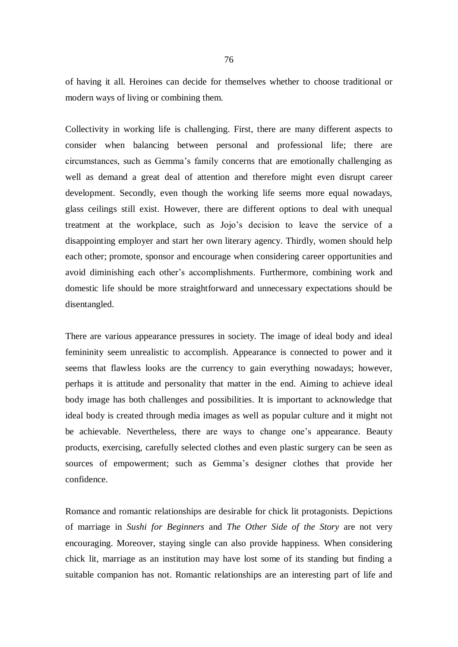of having it all. Heroines can decide for themselves whether to choose traditional or modern ways of living or combining them.

Collectivity in working life is challenging. First, there are many different aspects to consider when balancing between personal and professional life; there are circumstances, such as Gemma's family concerns that are emotionally challenging as well as demand a great deal of attention and therefore might even disrupt career development. Secondly, even though the working life seems more equal nowadays, glass ceilings still exist. However, there are different options to deal with unequal treatment at the workplace, such as Jojo's decision to leave the service of a disappointing employer and start her own literary agency. Thirdly, women should help each other; promote, sponsor and encourage when considering career opportunities and avoid diminishing each other's accomplishments. Furthermore, combining work and domestic life should be more straightforward and unnecessary expectations should be disentangled.

There are various appearance pressures in society. The image of ideal body and ideal femininity seem unrealistic to accomplish. Appearance is connected to power and it seems that flawless looks are the currency to gain everything nowadays; however, perhaps it is attitude and personality that matter in the end. Aiming to achieve ideal body image has both challenges and possibilities. It is important to acknowledge that ideal body is created through media images as well as popular culture and it might not be achievable. Nevertheless, there are ways to change one's appearance. Beauty products, exercising, carefully selected clothes and even plastic surgery can be seen as sources of empowerment; such as Gemma's designer clothes that provide her confidence.

Romance and romantic relationships are desirable for chick lit protagonists. Depictions of marriage in *Sushi for Beginners* and *The Other Side of the Story* are not very encouraging. Moreover, staying single can also provide happiness. When considering chick lit, marriage as an institution may have lost some of its standing but finding a suitable companion has not. Romantic relationships are an interesting part of life and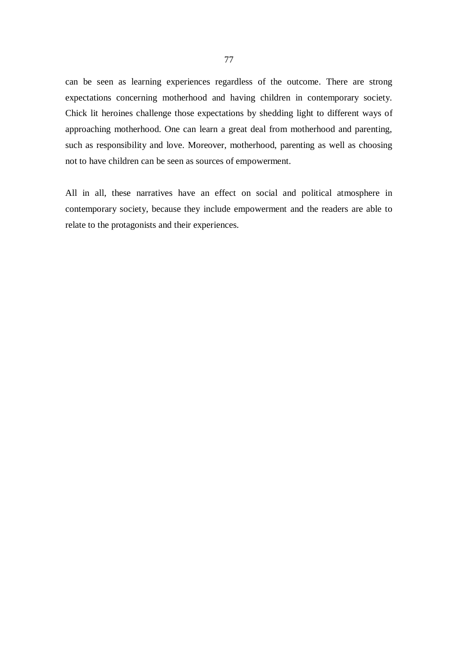can be seen as learning experiences regardless of the outcome. There are strong expectations concerning motherhood and having children in contemporary society. Chick lit heroines challenge those expectations by shedding light to different ways of approaching motherhood. One can learn a great deal from motherhood and parenting, such as responsibility and love. Moreover, motherhood, parenting as well as choosing not to have children can be seen as sources of empowerment.

All in all, these narratives have an effect on social and political atmosphere in contemporary society, because they include empowerment and the readers are able to relate to the protagonists and their experiences.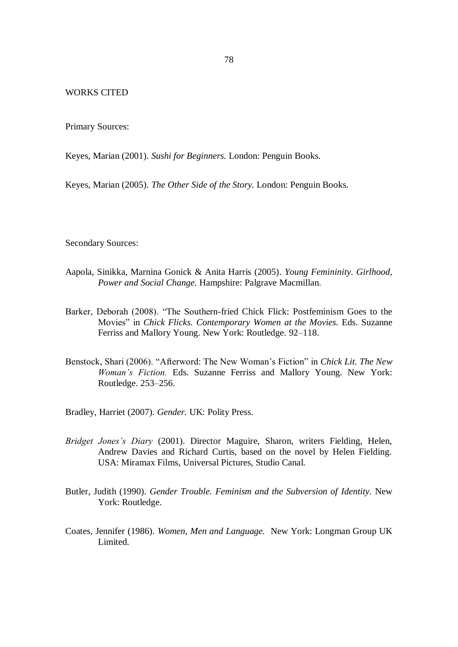## WORKS CITED

Primary Sources:

Keyes, Marian (2001). *Sushi for Beginners.* London: Penguin Books.

Keyes, Marian (2005). *The Other Side of the Story.* London: Penguin Books.

Secondary Sources:

- Aapola, Sinikka, Marnina Gonick & Anita Harris (2005). *Young Femininity. Girlhood, Power and Social Change.* Hampshire: Palgrave Macmillan.
- Barker, Deborah (2008). "The Southern-fried Chick Flick: Postfeminism Goes to the Movies" in *Chick Flicks. Contemporary Women at the Movies.* Eds. Suzanne Ferriss and Mallory Young. New York: Routledge. 92–118.
- Benstock, Shari (2006). "Afterword: The New Woman's Fiction" in *Chick Lit. The New Woman's Fiction.* Eds. Suzanne Ferriss and Mallory Young. New York: Routledge. 253–256.
- Bradley, Harriet (2007). *Gender.* UK: Polity Press.
- *Bridget Jones's Diary* (2001). Director Maguire, Sharon, writers Fielding, Helen, Andrew Davies and Richard Curtis, based on the novel by Helen Fielding. USA: Miramax Films, Universal Pictures, Studio Canal.
- Butler, Judith (1990). *Gender Trouble. Feminism and the Subversion of Identity.* New York: Routledge.
- Coates, Jennifer (1986). *Women, Men and Language.* New York: Longman Group UK Limited.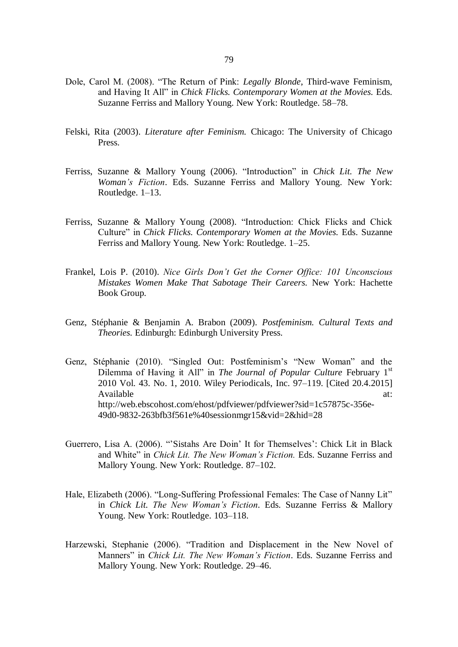- Dole, Carol M. (2008). "The Return of Pink: *Legally Blonde*, Third-wave Feminism, and Having It All" in *Chick Flicks. Contemporary Women at the Movies.* Eds. Suzanne Ferriss and Mallory Young. New York: Routledge. 58–78.
- Felski, Rita (2003). *Literature after Feminism.* Chicago: The University of Chicago Press.
- Ferriss, Suzanne & Mallory Young (2006). "Introduction" in *Chick Lit. The New Woman's Fiction*. Eds. Suzanne Ferriss and Mallory Young. New York: Routledge. 1–13.
- Ferriss, Suzanne & Mallory Young (2008). "Introduction: Chick Flicks and Chick Culture" in *Chick Flicks. Contemporary Women at the Movies.* Eds. Suzanne Ferriss and Mallory Young. New York: Routledge. 1–25.
- Frankel, Lois P. (2010). *Nice Girls Don't Get the Corner Office: 101 Unconscious Mistakes Women Make That Sabotage Their Careers.* New York: Hachette Book Group.
- Genz, Stéphanie & Benjamin A. Brabon (2009). *Postfeminism. Cultural Texts and Theories.* Edinburgh: Edinburgh University Press.
- Genz, Stéphanie (2010). "Singled Out: Postfeminism's "New Woman" and the Dilemma of Having it All" in *The Journal of Popular Culture* February 1<sup>st</sup> 2010 Vol. 43. No. 1, 2010. Wiley Periodicals, Inc. 97–119. [Cited 20.4.2015] Available at: http://web.ebscohost.com/ehost/pdfviewer/pdfviewer?sid=1c57875c-356e-49d0-9832-263bfb3f561e%40sessionmgr15&vid=2&hid=28
- Guerrero, Lisa A. (2006). "'Sistahs Are Doin' It for Themselves': Chick Lit in Black and White" in *Chick Lit. The New Woman's Fiction.* Eds. Suzanne Ferriss and Mallory Young. New York: Routledge. 87–102.
- Hale, Elizabeth (2006). "Long-Suffering Professional Females: The Case of Nanny Lit" in *Chick Lit. The New Woman's Fiction.* Eds. Suzanne Ferriss & Mallory Young. New York: Routledge. 103–118.
- Harzewski, Stephanie (2006). "Tradition and Displacement in the New Novel of Manners" in *Chick Lit. The New Woman's Fiction*. Eds. Suzanne Ferriss and Mallory Young. New York: Routledge. 29–46.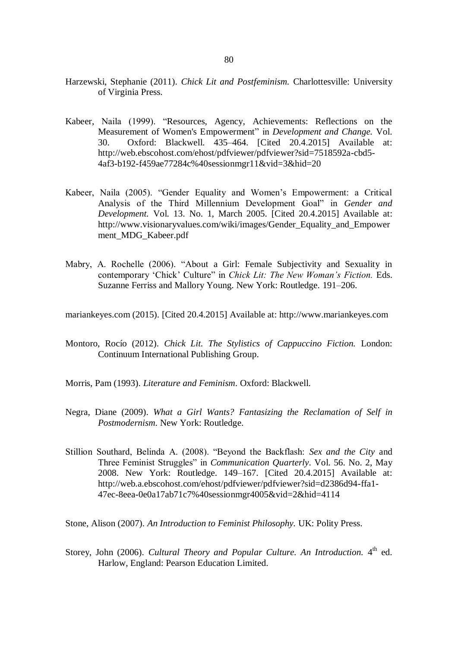- Harzewski, Stephanie (2011). *Chick Lit and Postfeminism.* Charlottesville: University of Virginia Press.
- Kabeer, Naila (1999). "Resources, Agency, Achievements: Reflections on the Measurement of Women's Empowerment" in *Development and Change.* Vol. 30. Oxford: Blackwell. 435–464. [Cited 20.4.2015] Available at: http://web.ebscohost.com/ehost/pdfviewer/pdfviewer?sid=7518592a-cbd5- 4af3-b192-f459ae77284c%40sessionmgr11&vid=3&hid=20
- Kabeer, Naila (2005). "Gender Equality and Women's Empowerment: a Critical Analysis of the Third Millennium Development Goal" in *Gender and Development.* Vol. 13. No. 1, March 2005. [Cited 20.4.2015] Available at: http://www.visionaryvalues.com/wiki/images/Gender\_Equality\_and\_Empower ment\_MDG\_Kabeer.pdf
- Mabry, A. Rochelle (2006). "About a Girl: Female Subjectivity and Sexuality in contemporary 'Chick' Culture" in *Chick Lit: The New Woman's Fiction.* Eds. Suzanne Ferriss and Mallory Young. New York: Routledge. 191–206.

mariankeyes.com (2015). [Cited 20.4.2015] Available at: http://www.mariankeyes.com

Montoro, Rocío (2012). *Chick Lit. The Stylistics of Cappuccino Fiction.* London: Continuum International Publishing Group.

Morris, Pam (1993). *Literature and Feminism*. Oxford: Blackwell.

- Negra, Diane (2009). *What a Girl Wants? Fantasizing the Reclamation of Self in Postmodernism*. New York: Routledge.
- Stillion Southard, Belinda A. (2008). "Beyond the Backflash: *Sex and the City* and Three Feminist Struggles" in *Communication Quarterly*. Vol. 56. No. 2, May 2008. New York: Routledge. 149–167. [Cited 20.4.2015] Available at: http://web.a.ebscohost.com/ehost/pdfviewer/pdfviewer?sid=d2386d94-ffa1- 47ec-8eea-0e0a17ab71c7%40sessionmgr4005&vid=2&hid=4114

Stone, Alison (2007). *An Introduction to Feminist Philosophy.* UK: Polity Press.

Storey, John (2006). *Cultural Theory and Popular Culture*. An Introduction. 4<sup>th</sup> ed. Harlow, England: Pearson Education Limited.